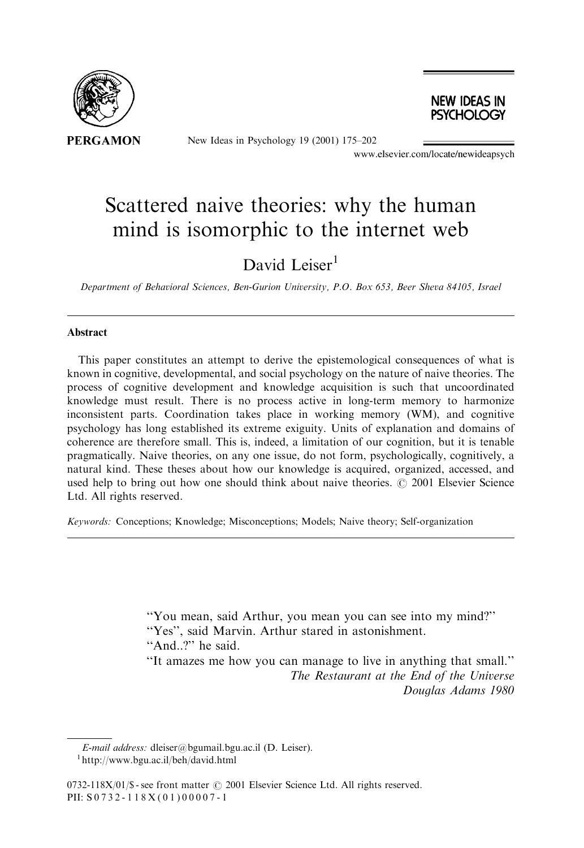

New Ideas in Psychology 19 (2001) 175–202



www.elsevier.com/locate/newideapsych

# Scattered naive theories: why the human mind is isomorphic to the internet web

# David Leiser $<sup>1</sup>$ </sup>

Department of Behavioral Sciences, Ben-Gurion University, P.O. Box 653, Beer Sheva 84105, Israel

#### Abstract

This paper constitutes an attempt to derive the epistemological consequences of what is known in cognitive, developmental, and social psychology on the nature of naive theories. The process of cognitive development and knowledge acquisition is such that uncoordinated knowledge must result. There is no process active in long-term memory to harmonize inconsistent parts. Coordination takes place in working memory (WM), and cognitive psychology has long established its extreme exiguity. Units of explanation and domains of coherence are therefore small. This is, indeed, a limitation of our cognition, but it is tenable pragmatically. Naive theories, on any one issue, do not form, psychologically, cognitively, a natural kind. These theses about how our knowledge is acquired, organized, accessed, and used help to bring out how one should think about naive theories.  $\odot$  2001 Elsevier Science Ltd. All rights reserved.

Keywords: Conceptions; Knowledge; Misconceptions; Models; Naive theory; Self-organization

''You mean, said Arthur, you mean you can see into my mind?''

''Yes'', said Marvin. Arthur stared in astonishment.

''It amazes me how you can manage to live in anything that small.'' The Restaurant at the End of the Universe Douglas Adams 1980

E-mail address: dleiser@bgumail.bgu.ac.il (D. Leiser).<br><sup>1</sup>http://www.bgu.ac.il/beh/david.html

<sup>&</sup>quot;And..?" he said.

<sup>0732-118</sup>X/01/\$ - see front matter  $\odot$  2001 Elsevier Science Ltd. All rights reserved. PII: S 0 7 3 2 - 118X(01)00007-1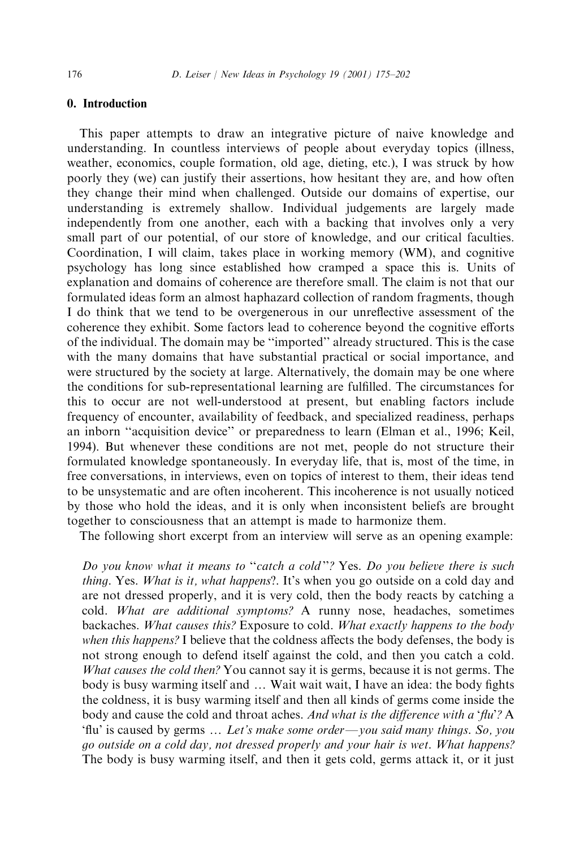# 0. Introduction

This paper attempts to draw an integrative picture of naive knowledge and understanding. In countless interviews of people about everyday topics (illness, weather, economics, couple formation, old age, dieting, etc.), I was struck by how poorly they (we) can justify their assertions, how hesitant they are, and how often they change their mind when challenged. Outside our domains of expertise, our understanding is extremely shallow. Individual judgements are largely made independently from one another, each with a backing that involves only a very small part of our potential, of our store of knowledge, and our critical faculties. Coordination, I will claim, takes place in working memory (WM), and cognitive psychology has long since established how cramped a space this is. Units of explanation and domains of coherence are therefore small. The claim is not that our formulated ideas form an almost haphazard collection of random fragments, though I do think that we tend to be overgenerous in our unreflective assessment of the coherence they exhibit. Some factors lead to coherence beyond the cognitive efforts of the individual. The domain may be ''imported'' already structured. This is the case with the many domains that have substantial practical or social importance, and were structured by the society at large. Alternatively, the domain may be one where the conditions for sub-representational learning are fulfilled. The circumstances for this to occur are not well-understood at present, but enabling factors include frequency of encounter, availability of feedback, and specialized readiness, perhaps an inborn ''acquisition device'' or preparedness to learn (Elman et al., 1996; Keil, 1994). But whenever these conditions are not met, people do not structure their formulated knowledge spontaneously. In everyday life, that is, most of the time, in free conversations, in interviews, even on topics of interest to them, their ideas tend to be unsystematic and are often incoherent. This incoherence is not usually noticed by those who hold the ideas, and it is only when inconsistent beliefs are brought together to consciousness that an attempt is made to harmonize them.

The following short excerpt froman interview will serve as an opening example:

Do you know what it means to ''catch a cold ''? Yes. Do you believe there is such thing. Yes. What is it, what happens?. It's when you go outside on a cold day and are not dressed properly, and it is very cold, then the body reacts by catching a cold. What are additional symptoms? A runny nose, headaches, sometimes backaches. What causes this? Exposure to cold. What exactly happens to the body when this happens? I believe that the coldness affects the body defenses, the body is not strong enough to defend itself against the cold, and then you catch a cold. What causes the cold then? You cannot say it is germs, because it is not germs. The body is busy warming itself and ... Wait wait wait, I have an idea: the body fights the coldness, it is busy warming itself and then all kinds of germs come inside the body and cause the cold and throat aches. And what is the difference with a 'flu'? A 'flu' is caused by germs  $\ldots$  Let's make some order—you said many things. So, you go outside on a cold day, not dressed properly and your hair is wet. What happens? The body is busy warming itself, and then it gets cold, germs attack it, or it just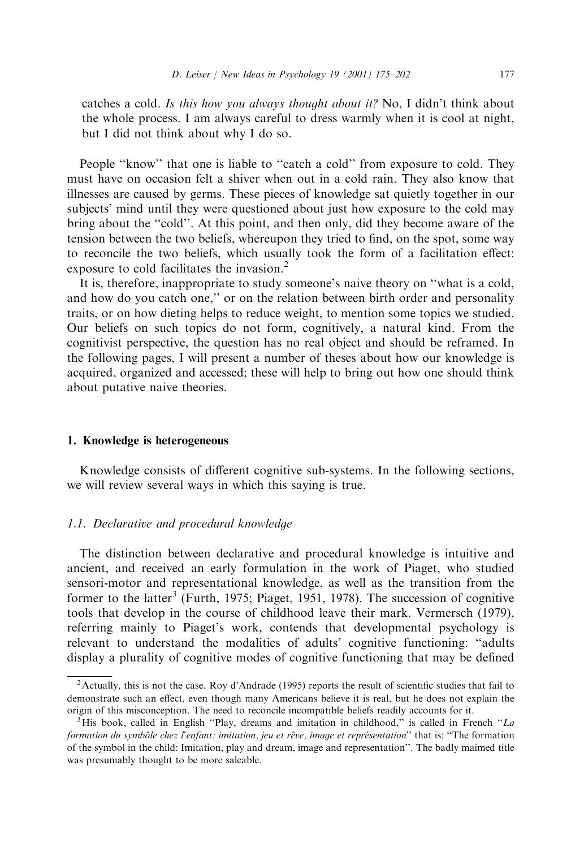catches a cold. Is this how you always thought about it? No, I didn't think about the whole process. I amalways careful to dress warmly when it is cool at night, but I did not think about why I do so.

People "know" that one is liable to "catch a cold" from exposure to cold. They must have on occasion felt a shiver when out in a cold rain. They also know that illnesses are caused by germs. These pieces of knowledge sat quietly together in our subjects' mind until they were questioned about just how exposure to the cold may bring about the ''cold''. At this point, and then only, did they become aware of the tension between the two beliefs, whereupon they tried to find, on the spot, some way to reconcile the two beliefs, which usually took the formof a facilitation effect: exposure to cold facilitates the invasion.<sup>2</sup>

It is, therefore, inappropriate to study someone's naive theory on ''what is a cold, and how do you catch one,'' or on the relation between birth order and personality traits, or on how dieting helps to reduce weight, to mention some topics we studied. Our beliefs on such topics do not form, cognitively, a natural kind. From the cognitivist perspective, the question has no real object and should be reframed. In the following pages, I will present a number of theses about how our knowledge is acquired, organized and accessed; these will help to bring out how one should think about putative naive theories.

#### 1. Knowledge is heterogeneous

Knowledge consists of different cognitive sub-systems. In the following sections, we will review several ways in which this saying is true.

# 1.1. Declarative and procedural knowledge

The distinction between declarative and procedural knowledge is intuitive and ancient, and received an early formulation in the work of Piaget, who studied sensori-motor and representational knowledge, as well as the transition from the former to the latter<sup>3</sup> (Furth, 1975; Piaget, 1951, 1978). The succession of cognitive tools that develop in the course of childhood leave their mark. Vermersch (1979), referring mainly to Piaget's work, contends that developmental psychology is relevant to understand the modalities of adults' cognitive functioning: ''adults display a plurality of cognitive modes of cognitive functioning that may be defined

<sup>&</sup>lt;sup>2</sup> Actually, this is not the case. Roy d'Andrade (1995) reports the result of scientific studies that fail to demonstrate such an effect, even though many Americans believe it is real, but he does not explain the origin of this misconception. The need to reconcile incompatible beliefs readily accounts for it.

<sup>&</sup>lt;sup>3</sup>His book, called in English "Play, dreams and imitation in childhood," is called in French "La formation du symbôle chez l'enfant: imitation, jeu et rêve, image et représentation" that is: "The formation of the symbol in the child: Imitation, play and dream, image and representation''. The badly maimed title was presumably thought to be more saleable.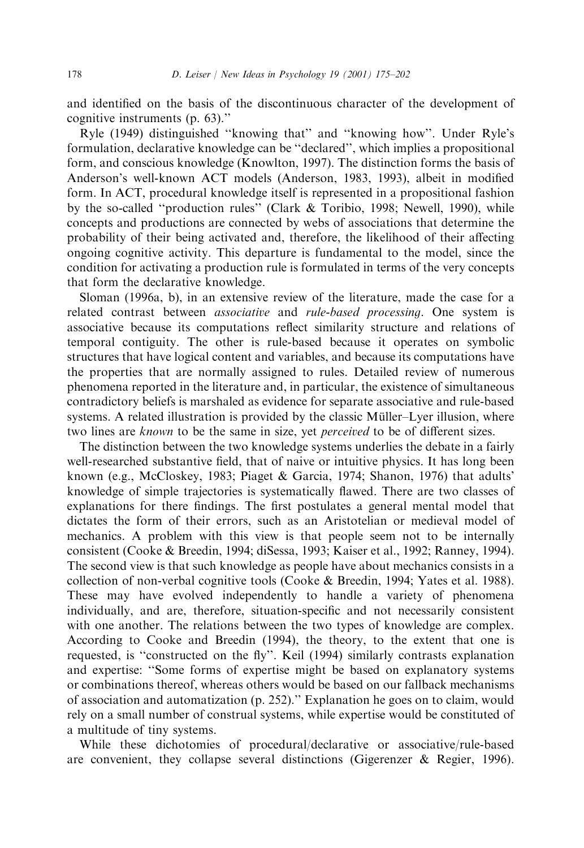and identified on the basis of the discontinuous character of the development of cognitive instruments (p. 63).''

Ryle (1949) distinguished ''knowing that'' and ''knowing how''. Under Ryle's formulation, declarative knowledge can be ''declared'', which implies a propositional form, and conscious knowledge (Knowlton, 1997). The distinction forms the basis of Anderson's well-known ACT models (Anderson, 1983, 1993), albeit in modified form. In ACT, procedural knowledge itself is represented in a propositional fashion by the so-called ''production rules'' (Clark & Toribio, 1998; Newell, 1990), while concepts and productions are connected by webs of associations that determine the probability of their being activated and, therefore, the likelihood of their affecting ongoing cognitive activity. This departure is fundamental to the model, since the condition for activating a production rule is formulated in terms of the very concepts that form the declarative knowledge.

Sloman (1996a, b), in an extensive review of the literature, made the case for a related contrast between *associative* and *rule-based processing*. One system is associative because its computations reflect similarity structure and relations of temporal contiguity. The other is rule-based because it operates on symbolic structures that have logical content and variables, and because its computations have the properties that are normally assigned to rules. Detailed review of numerous phenomena reported in the literature and, in particular, the existence of simultaneous contradictory beliefs is marshaled as evidence for separate associative and rule-based systems. A related illustration is provided by the classic Müller–Lyer illusion, where two lines are known to be the same in size, yet perceived to be of different sizes.

The distinction between the two knowledge systems underlies the debate in a fairly well-researched substantive field, that of naive or intuitive physics. It has long been known (e.g., McCloskey, 1983; Piaget & Garcia, 1974; Shanon, 1976) that adults' knowledge of simple trajectories is systematically flawed. There are two classes of explanations for there findings. The first postulates a general mental model that dictates the form of their errors, such as an Aristotelian or medieval model of mechanics. A problem with this view is that people seem not to be internally consistent (Cooke & Breedin, 1994; diSessa, 1993; Kaiser et al., 1992; Ranney, 1994). The second view is that such knowledge as people have about mechanics consists in a collection of non-verbal cognitive tools (Cooke & Breedin, 1994; Yates et al. 1988). These may have evolved independently to handle a variety of phenomena individually, and are, therefore, situation-specific and not necessarily consistent with one another. The relations between the two types of knowledge are complex. According to Cooke and Breedin (1994), the theory, to the extent that one is requested, is ''constructed on the fly''. Keil (1994) similarly contrasts explanation and expertise: ''Some forms of expertise might be based on explanatory systems or combinations thereof, whereas others would be based on our fallback mechanisms of association and automatization (p. 252).'' Explanation he goes on to claim, would rely on a small number of construal systems, while expertise would be constituted of a multitude of tiny systems.

While these dichotomies of procedural/declarative or associative/rule-based are convenient, they collapse several distinctions (Gigerenzer & Regier, 1996).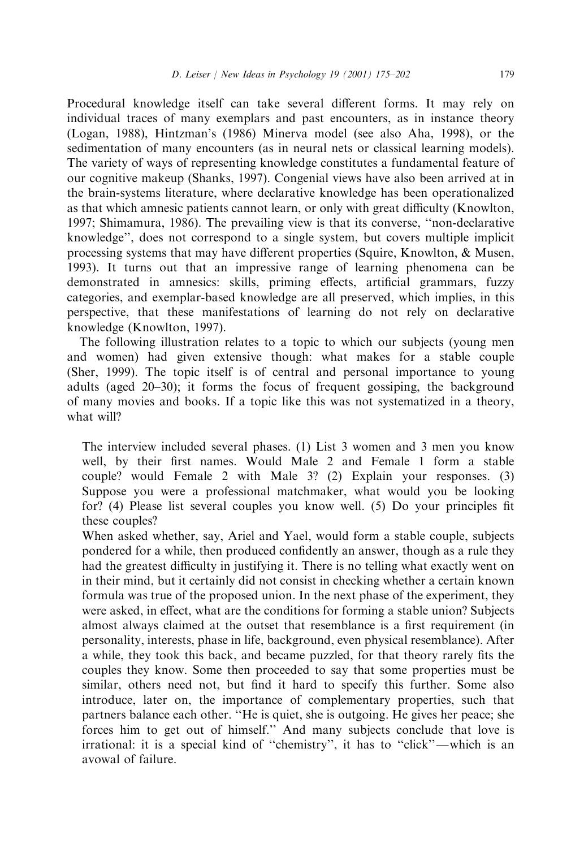Procedural knowledge itself can take several different forms. It may rely on individual traces of many exemplars and past encounters, as in instance theory (Logan, 1988), Hintzman's (1986) Minerva model (see also Aha, 1998), or the sedimentation of many encounters (as in neural nets or classical learning models). The variety of ways of representing knowledge constitutes a fundamental feature of our cognitive makeup (Shanks, 1997). Congenial views have also been arrived at in the brain-systems literature, where declarative knowledge has been operationalized as that which amnesic patients cannot learn, or only with great difficulty (Knowlton, 1997; Shimamura, 1986). The prevailing view is that its converse, ''non-declarative knowledge'', does not correspond to a single system, but covers multiple implicit processing systems that may have different properties (Squire, Knowlton, & Musen, 1993). It turns out that an impressive range of learning phenomena can be demonstrated in amnesics: skills, priming effects, artificial grammars, fuzzy categories, and exemplar-based knowledge are all preserved, which implies, in this perspective, that these manifestations of learning do not rely on declarative knowledge (Knowlton, 1997).

The following illustration relates to a topic to which our subjects (young men and women) had given extensive though: what makes for a stable couple (Sher, 1999). The topic itself is of central and personal importance to young adults (aged 20–30); it forms the focus of frequent gossiping, the background of many movies and books. If a topic like this was not systematized in a theory, what will?

The interview included several phases. (1) List 3 women and 3 men you know well, by their first names. Would Male 2 and Female 1 form a stable couple? would Female 2 with Male 3? (2) Explain your responses. (3) Suppose you were a professional matchmaker, what would you be looking for? (4) Please list several couples you know well. (5) Do your principles fit these couples?

When asked whether, say, Ariel and Yael, would forma stable couple, subjects pondered for a while, then produced confidently an answer, though as a rule they had the greatest difficulty in justifying it. There is no telling what exactly went on in their mind, but it certainly did not consist in checking whether a certain known formula was true of the proposed union. In the next phase of the experiment, they were asked, in effect, what are the conditions for forming a stable union? Subjects almost always claimed at the outset that resemblance is a first requirement (in personality, interests, phase in life, background, even physical resemblance). After a while, they took this back, and became puzzled, for that theory rarely fits the couples they know. Some then proceeded to say that some properties must be similar, others need not, but find it hard to specify this further. Some also introduce, later on, the importance of complementary properties, such that partners balance each other. ''He is quiet, she is outgoing. He gives her peace; she forces him to get out of himself.'' And many subjects conclude that love is irrational: it is a special kind of "chemistry", it has to "click"—which is an avowal of failure.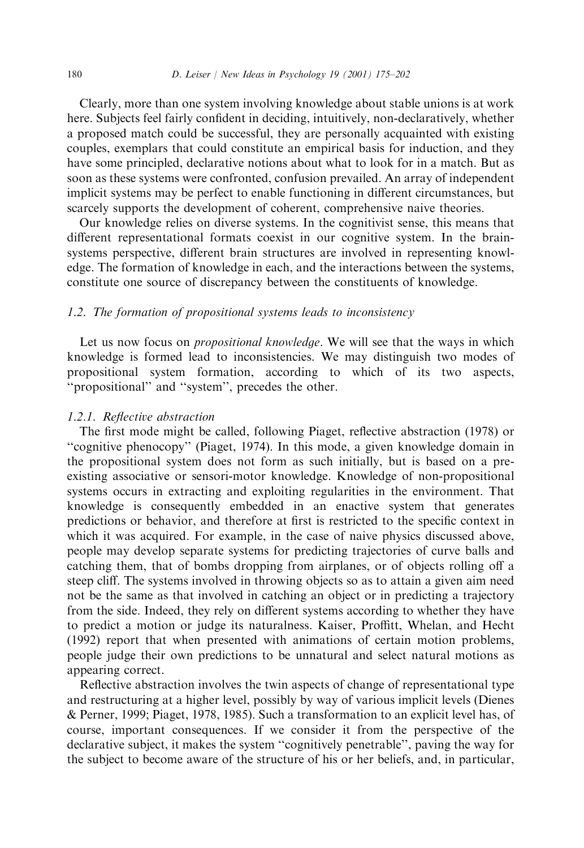Clearly, more than one system involving knowledge about stable unions is at work here. Subjects feel fairly confident in deciding, intuitively, non-declaratively, whether a proposed match could be successful, they are personally acquainted with existing couples, exemplars that could constitute an empirical basis for induction, and they have some principled, declarative notions about what to look for in a match. But as soon as these systems were confronted, confusion prevailed. An array of independent implicit systems may be perfect to enable functioning in different circumstances, but scarcely supports the development of coherent, comprehensive naive theories.

Our knowledge relies on diverse systems. In the cognitivist sense, this means that different representational formats coexist in our cognitive system. In the brainsystems perspective, different brain structures are involved in representing knowledge. The formation of knowledge in each, and the interactions between the systems, constitute one source of discrepancy between the constituents of knowledge.

### 1.2. The formation of propositional systems leads to inconsistency

Let us now focus on *propositional knowledge*. We will see that the ways in which knowledge is formed lead to inconsistencies. We may distinguish two modes of propositional system formation, according to which of its two aspects, "propositional" and "system", precedes the other.

#### 1.2.1. Reflective abstraction

The first mode might be called, following Piaget, reflective abstraction (1978) or ''cognitive phenocopy'' (Piaget, 1974). In this mode, a given knowledge domain in the propositional system does not form as such initially, but is based on a preexisting associative or sensori-motor knowledge. Knowledge of non-propositional systems occurs in extracting and exploiting regularities in the environment. That knowledge is consequently embedded in an enactive system that generates predictions or behavior, and therefore at first is restricted to the specific context in which it was acquired. For example, in the case of naive physics discussed above, people may develop separate systems for predicting trajectories of curve balls and catching them, that of bombs dropping from airplanes, or of objects rolling off a steep cliff. The systems involved in throwing objects so as to attain a given aim need not be the same as that involved in catching an object or in predicting a trajectory fromthe side. Indeed, they rely on different systems according to whether they have to predict a motion or judge its naturalness. Kaiser, Proffitt, Whelan, and Hecht (1992) report that when presented with animations of certain motion problems, people judge their own predictions to be unnatural and select natural motions as appearing correct.

Reflective abstraction involves the twin aspects of change of representational type and restructuring at a higher level, possibly by way of various implicit levels (Dienes & Perner, 1999; Piaget, 1978, 1985). Such a transformation to an explicit level has, of course, important consequences. If we consider it from the perspective of the declarative subject, it makes the system ''cognitively penetrable'', paving the way for the subject to become aware of the structure of his or her beliefs, and, in particular,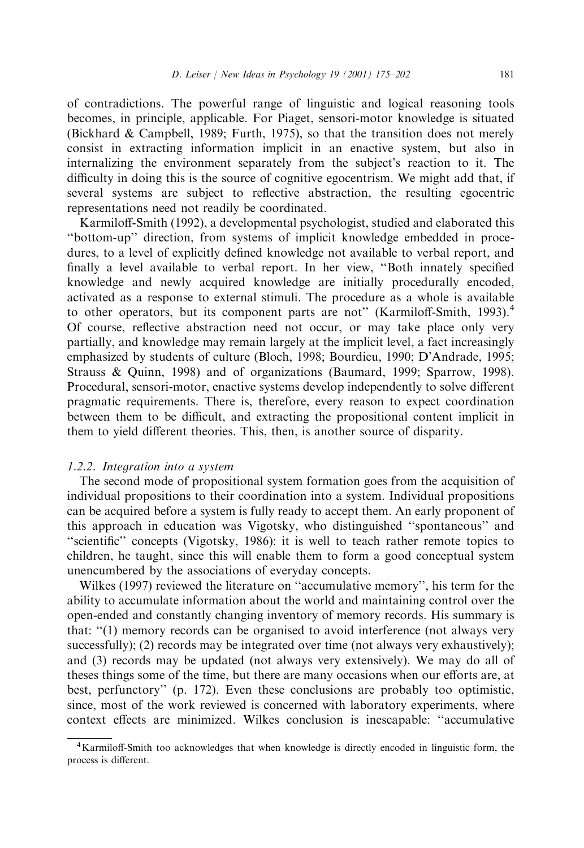of contradictions. The powerful range of linguistic and logical reasoning tools becomes, in principle, applicable. For Piaget, sensori-motor knowledge is situated (Bickhard & Campbell, 1989; Furth, 1975), so that the transition does not merely consist in extracting information implicit in an enactive system, but also in internalizing the environment separately from the subject's reaction to it. The difficulty in doing this is the source of cognitive egocentrism. We might add that, if several systems are subject to reflective abstraction, the resulting egocentric representations need not readily be coordinated.

Karmiloff-Smith (1992), a developmental psychologist, studied and elaborated this ''bottom-up'' direction, from systems of implicit knowledge embedded in procedures, to a level of explicitly defined knowledge not available to verbal report, and finally a level available to verbal report. In her view, ''Both innately specified knowledge and newly acquired knowledge are initially procedurally encoded, activated as a response to external stimuli. The procedure as a whole is available to other operators, but its component parts are not" (Karmiloff-Smith, 1993).<sup>4</sup> Of course, reflective abstraction need not occur, or may take place only very partially, and knowledge may remain largely at the implicit level, a fact increasingly emphasized by students of culture (Bloch, 1998; Bourdieu, 1990; D'Andrade, 1995; Strauss & Quinn, 1998) and of organizations (Baumard, 1999; Sparrow, 1998). Procedural, sensori-motor, enactive systems develop independently to solve different pragmatic requirements. There is, therefore, every reason to expect coordination between them to be difficult, and extracting the propositional content implicit in themto yield different theories. This, then, is another source of disparity.

#### 1.2.2. Integration into a system

The second mode of propositional system formation goes from the acquisition of individual propositions to their coordination into a system. Individual propositions can be acquired before a systemis fully ready to accept them. An early proponent of this approach in education was Vigotsky, who distinguished ''spontaneous'' and ''scientific'' concepts (Vigotsky, 1986): it is well to teach rather remote topics to children, he taught, since this will enable themto forma good conceptual system unencumbered by the associations of everyday concepts.

Wilkes (1997) reviewed the literature on ''accumulative memory'', his term for the ability to accumulate information about the world and maintaining control over the open-ended and constantly changing inventory of memory records. His summary is that: ''(1) memory records can be organised to avoid interference (not always very successfully); (2) records may be integrated over time (not always very exhaustively); and (3) records may be updated (not always very extensively). We may do all of theses things some of the time, but there are many occasions when our efforts are, at best, perfunctory'' (p. 172). Even these conclusions are probably too optimistic, since, most of the work reviewed is concerned with laboratory experiments, where context effects are minimized. Wilkes conclusion is inescapable: ''accumulative

<sup>&</sup>lt;sup>4</sup>Karmiloff-Smith too acknowledges that when knowledge is directly encoded in linguistic form, the process is different.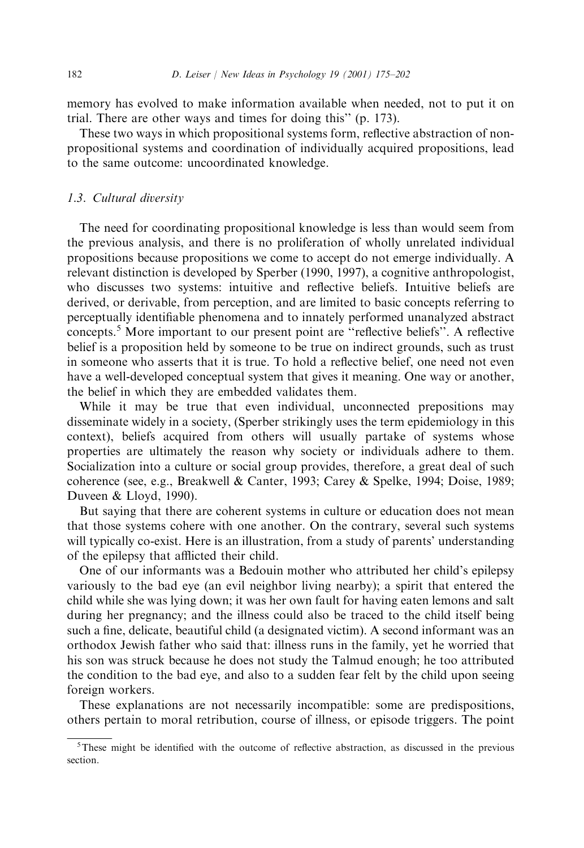memory has evolved to make information available when needed, not to put it on trial. There are other ways and times for doing this'' (p. 173).

These two ways in which propositional systems form, reflective abstraction of nonpropositional systems and coordination of individually acquired propositions, lead to the same outcome: uncoordinated knowledge.

#### 1.3. Cultural diversity

The need for coordinating propositional knowledge is less than would seemfrom the previous analysis, and there is no proliferation of wholly unrelated individual propositions because propositions we come to accept do not emerge individually. A relevant distinction is developed by Sperber (1990, 1997), a cognitive anthropologist, who discusses two systems: intuitive and reflective beliefs. Intuitive beliefs are derived, or derivable, from perception, and are limited to basic concepts referring to perceptually identifiable phenomena and to innately performed unanalyzed abstract concepts.<sup>5</sup> More important to our present point are "reflective beliefs". A reflective belief is a proposition held by someone to be true on indirect grounds, such as trust in someone who asserts that it is true. To hold a reflective belief, one need not even have a well-developed conceptual system that gives it meaning. One way or another, the belief in which they are embedded validates them.

While it may be true that even individual, unconnected prepositions may disseminate widely in a society, (Sperber strikingly uses the term epidemiology in this context), beliefs acquired from others will usually partake of systems whose properties are ultimately the reason why society or individuals adhere to them. Socialization into a culture or social group provides, therefore, a great deal of such coherence (see, e.g., Breakwell & Canter, 1993; Carey & Spelke, 1994; Doise, 1989; Duveen & Lloyd, 1990).

But saying that there are coherent systems in culture or education does not mean that those systems cohere with one another. On the contrary, several such systems will typically co-exist. Here is an illustration, froma study of parents' understanding of the epilepsy that afflicted their child.

One of our informants was a Bedouin mother who attributed her child's epilepsy variously to the bad eye (an evil neighbor living nearby); a spirit that entered the child while she was lying down; it was her own fault for having eaten lemons and salt during her pregnancy; and the illness could also be traced to the child itself being such a fine, delicate, beautiful child (a designated victim). A second informant was an orthodox Jewish father who said that: illness runs in the family, yet he worried that his son was struck because he does not study the Talmud enough; he too attributed the condition to the bad eye, and also to a sudden fear felt by the child upon seeing foreign workers.

These explanations are not necessarily incompatible: some are predispositions, others pertain to moral retribution, course of illness, or episode triggers. The point

 $5$ These might be identified with the outcome of reflective abstraction, as discussed in the previous section.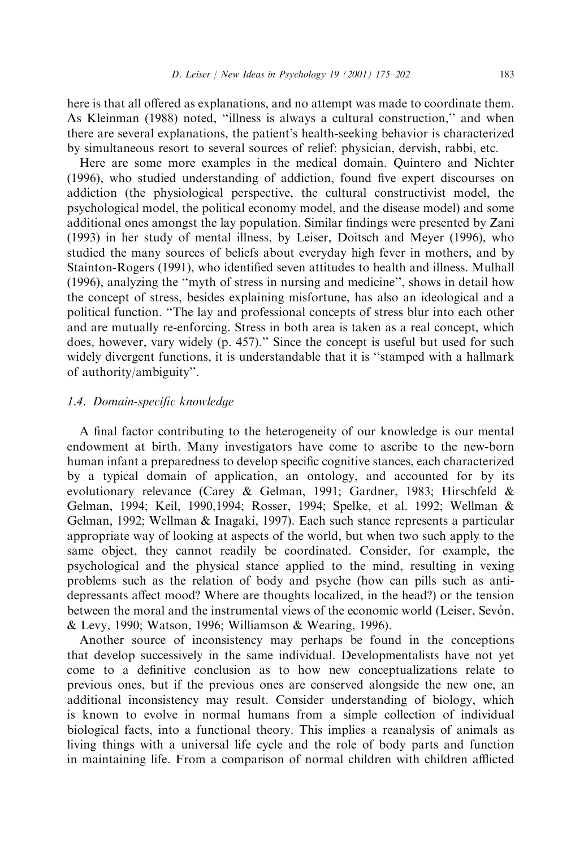here is that all offered as explanations, and no attempt was made to coordinate them. As Kleinman (1988) noted, ''illness is always a cultural construction,'' and when there are several explanations, the patient's health-seeking behavior is characterized by simultaneous resort to several sources of relief: physician, dervish, rabbi, etc.

Here are some more examples in the medical domain. Quintero and Nichter (1996), who studied understanding of addiction, found five expert discourses on addiction (the physiological perspective, the cultural constructivist model, the psychological model, the political economy model, and the disease model) and some additional ones amongst the lay population. Similar findings were presented by Zani (1993) in her study of mental illness, by Leiser, Doitsch and Meyer (1996), who studied the many sources of beliefs about everyday high fever in mothers, and by Stainton-Rogers (1991), who identified seven attitudes to health and illness. Mulhall (1996), analyzing the ''myth of stress in nursing and medicine'', shows in detail how the concept of stress, besides explaining misfortune, has also an ideological and a political function. ''The lay and professional concepts of stress blur into each other and are mutually re-enforcing. Stress in both area is taken as a real concept, which does, however, vary widely (p. 457).'' Since the concept is useful but used for such widely divergent functions, it is understandable that it is ''stamped with a hallmark of authority/ambiguity''.

## 1.4. Domain-specific knowledge

A final factor contributing to the heterogeneity of our knowledge is our mental endowment at birth. Many investigators have come to ascribe to the new-born human infant a preparedness to develop specific cognitive stances, each characterized by a typical domain of application, an ontology, and accounted for by its evolutionary relevance (Carey & Gelman, 1991; Gardner, 1983; Hirschfeld & Gelman, 1994; Keil, 1990,1994; Rosser, 1994; Spelke, et al. 1992; Wellman & Gelman, 1992; Wellman & Inagaki, 1997). Each such stance represents a particular appropriate way of looking at aspects of the world, but when two such apply to the same object, they cannot readily be coordinated. Consider, for example, the psychological and the physical stance applied to the mind, resulting in vexing problems such as the relation of body and psyche (how can pills such as antidepressants affect mood? Where are thoughts localized, in the head?) or the tension between the moral and the instrumental views of the economic world (Leiser, Sevon, & Levy, 1990; Watson, 1996; Williamson & Wearing, 1996).

Another source of inconsistency may perhaps be found in the conceptions that develop successively in the same individual. Developmentalists have not yet come to a definitive conclusion as to how new conceptualizations relate to previous ones, but if the previous ones are conserved alongside the new one, an additional inconsistency may result. Consider understanding of biology, which is known to evolve in normal humans from a simple collection of individual biological facts, into a functional theory. This implies a reanalysis of animals as living things with a universal life cycle and the role of body parts and function in maintaining life. From a comparison of normal children with children afflicted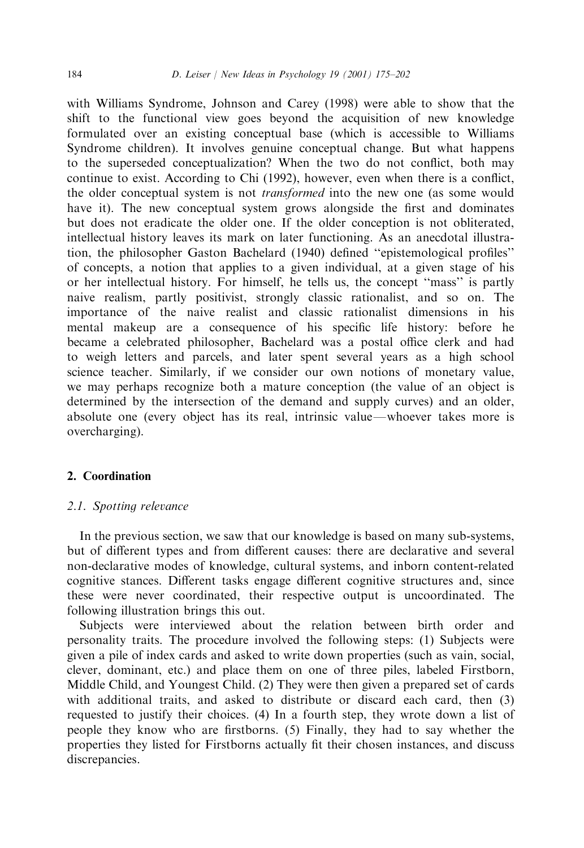with Williams Syndrome, Johnson and Carey (1998) were able to show that the shift to the functional view goes beyond the acquisition of new knowledge formulated over an existing conceptual base (which is accessible to Williams Syndrome children). It involves genuine conceptual change. But what happens to the superseded conceptualization? When the two do not conflict, both may continue to exist. According to Chi (1992), however, even when there is a conflict, the older conceptual system is not *transformed* into the new one (as some would have it). The new conceptual system grows alongside the first and dominates but does not eradicate the older one. If the older conception is not obliterated, intellectual history leaves its mark on later functioning. As an anecdotal illustration, the philosopher Gaston Bachelard (1940) defined ''epistemological profiles'' of concepts, a notion that applies to a given individual, at a given stage of his or her intellectual history. For himself, he tells us, the concept ''mass'' is partly naive realism, partly positivist, strongly classic rationalist, and so on. The importance of the naive realist and classic rationalist dimensions in his mental makeup are a consequence of his specific life history: before he became a celebrated philosopher, Bachelard was a postal office clerk and had to weigh letters and parcels, and later spent several years as a high school science teacher. Similarly, if we consider our own notions of monetary value, we may perhaps recognize both a mature conception (the value of an object is determined by the intersection of the demand and supply curves) and an older, absolute one (every object has its real, intrinsic value—whoever takes more is overcharging).

#### 2. Coordination

#### 2.1. Spotting relevance

In the previous section, we saw that our knowledge is based on many sub-systems, but of different types and from different causes: there are declarative and several non-declarative modes of knowledge, cultural systems, and inborn content-related cognitive stances. Different tasks engage different cognitive structures and, since these were never coordinated, their respective output is uncoordinated. The following illustration brings this out.

Subjects were interviewed about the relation between birth order and personality traits. The procedure involved the following steps: (1) Subjects were given a pile of index cards and asked to write down properties (such as vain, social, clever, dominant, etc.) and place them on one of three piles, labeled Firstborn, Middle Child, and Youngest Child. (2) They were then given a prepared set of cards with additional traits, and asked to distribute or discard each card, then (3) requested to justify their choices. (4) In a fourth step, they wrote down a list of people they know who are firstborns. (5) Finally, they had to say whether the properties they listed for Firstborns actually fit their chosen instances, and discuss discrepancies.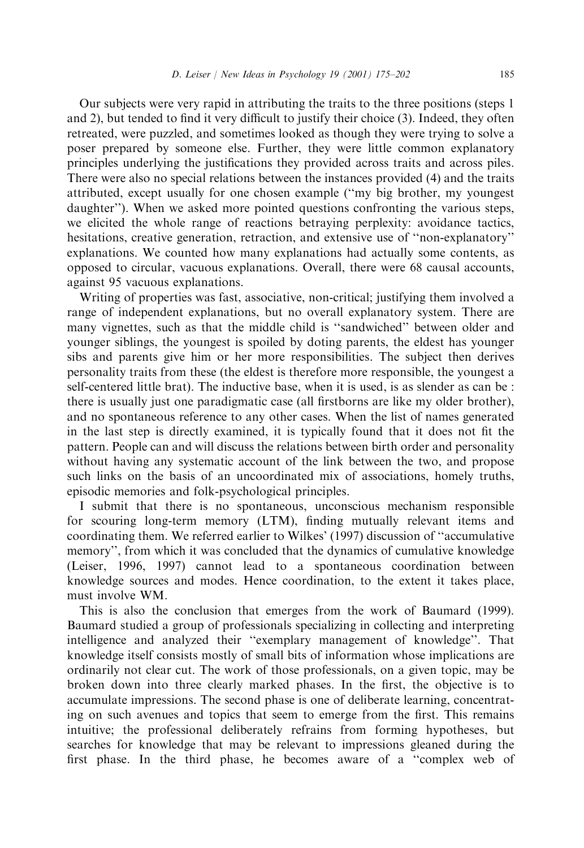Our subjects were very rapid in attributing the traits to the three positions (steps 1 and 2), but tended to find it very difficult to justify their choice (3). Indeed, they often retreated, were puzzled, and sometimes looked as though they were trying to solve a poser prepared by someone else. Further, they were little common explanatory principles underlying the justifications they provided across traits and across piles. There were also no special relations between the instances provided (4) and the traits attributed, except usually for one chosen example (''my big brother, my youngest daughter''). When we asked more pointed questions confronting the various steps, we elicited the whole range of reactions betraying perplexity: avoidance tactics, hesitations, creative generation, retraction, and extensive use of ''non-explanatory'' explanations. We counted how many explanations had actually some contents, as opposed to circular, vacuous explanations. Overall, there were 68 causal accounts, against 95 vacuous explanations.

Writing of properties was fast, associative, non-critical; justifying theminvolved a range of independent explanations, but no overall explanatory system. There are many vignettes, such as that the middle child is ''sandwiched'' between older and younger siblings, the youngest is spoiled by doting parents, the eldest has younger sibs and parents give himor her more responsibilities. The subject then derives personality traits fromthese (the eldest is therefore more responsible, the youngest a self-centered little brat). The inductive base, when it is used, is as slender as can be : there is usually just one paradigmatic case (all firstborns are like my older brother), and no spontaneous reference to any other cases. When the list of names generated in the last step is directly examined, it is typically found that it does not fit the pattern. People can and will discuss the relations between birth order and personality without having any systematic account of the link between the two, and propose such links on the basis of an uncoordinated mix of associations, homely truths, episodic memories and folk-psychological principles.

I submit that there is no spontaneous, unconscious mechanism responsible for scouring long-term memory (LTM), finding mutually relevant items and coordinating them. We referred earlier to Wilkes' (1997) discussion of ''accumulative memory'', from which it was concluded that the dynamics of cumulative knowledge (Leiser, 1996, 1997) cannot lead to a spontaneous coordination between knowledge sources and modes. Hence coordination, to the extent it takes place, must involve WM.

This is also the conclusion that emerges from the work of Baumard (1999). Baumard studied a group of professionals specializing in collecting and interpreting intelligence and analyzed their ''exemplary management of knowledge''. That knowledge itself consists mostly of small bits of information whose implications are ordinarily not clear cut. The work of those professionals, on a given topic, may be broken down into three clearly marked phases. In the first, the objective is to accumulate impressions. The second phase is one of deliberate learning, concentrating on such avenues and topics that seem to emerge from the first. This remains intuitive; the professional deliberately refrains from forming hypotheses, but searches for knowledge that may be relevant to impressions gleaned during the first phase. In the third phase, he becomes aware of a ''complex web of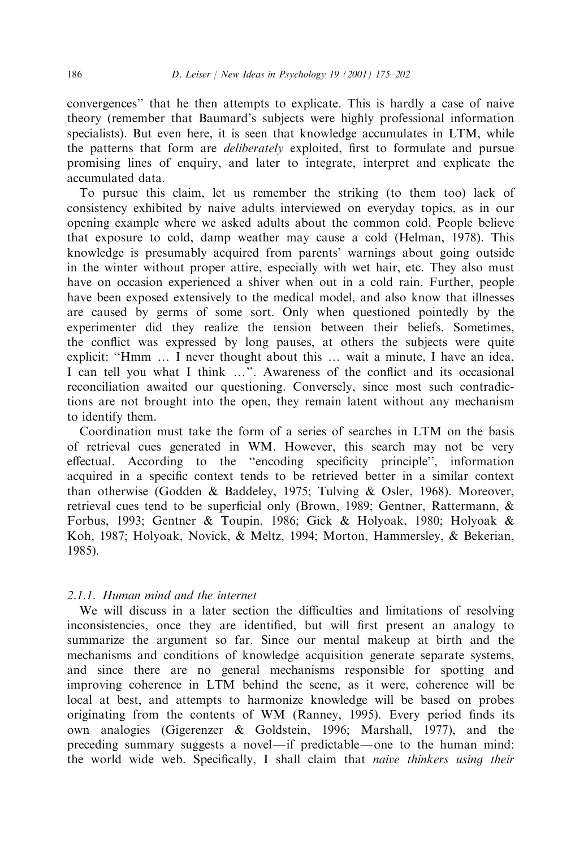convergences'' that he then attempts to explicate. This is hardly a case of naive theory (remember that Baumard's subjects were highly professional information specialists). But even here, it is seen that knowledge accumulates in LTM, while the patterns that form are *deliberately* exploited, first to formulate and pursue promising lines of enquiry, and later to integrate, interpret and explicate the accumulated data.

To pursue this claim, let us remember the striking (to them too) lack of consistency exhibited by naive adults interviewed on everyday topics, as in our opening example where we asked adults about the common cold. People believe that exposure to cold, damp weather may cause a cold (Helman, 1978). This knowledge is presumably acquired from parents' warnings about going outside in the winter without proper attire, especially with wet hair, etc. They also must have on occasion experienced a shiver when out in a cold rain. Further, people have been exposed extensively to the medical model, and also know that illnesses are caused by germs of some sort. Only when questioned pointedly by the experimenter did they realize the tension between their beliefs. Sometimes, the conflict was expressed by long pauses, at others the subjects were quite explicit: "Hmm  $\ldots$  I never thought about this  $\ldots$  wait a minute, I have an idea, I can tell you what I think ...". Awareness of the conflict and its occasional reconciliation awaited our questioning. Conversely, since most such contradictions are not brought into the open, they remain latent without any mechanism to identify them.

Coordination must take the form of a series of searches in LTM on the basis of retrieval cues generated in WM. However, this search may not be very effectual. According to the ''encoding specificity principle'', information acquired in a specific context tends to be retrieved better in a similar context than otherwise (Godden & Baddeley, 1975; Tulving & Osler, 1968). Moreover, retrieval cues tend to be superficial only (Brown, 1989; Gentner, Rattermann, & Forbus, 1993; Gentner & Toupin, 1986; Gick & Holyoak, 1980; Holyoak & Koh, 1987; Holyoak, Novick, & Meltz, 1994; Morton, Hammersley, & Bekerian, 1985).

#### 2.1.1. Human mind and the internet

We will discuss in a later section the difficulties and limitations of resolving inconsistencies, once they are identified, but will first present an analogy to summarize the argument so far. Since our mental makeup at birth and the mechanisms and conditions of knowledge acquisition generate separate systems, and since there are no general mechanisms responsible for spotting and improving coherence in LTM behind the scene, as it were, coherence will be local at best, and attempts to harmonize knowledge will be based on probes originating from the contents of WM (Ranney, 1995). Every period finds its own analogies (Gigerenzer & Goldstein, 1996; Marshall, 1977), and the preceding summary suggests a novel—if predictable—one to the human mind: the world wide web. Specifically, I shall claim that *naive thinkers using their*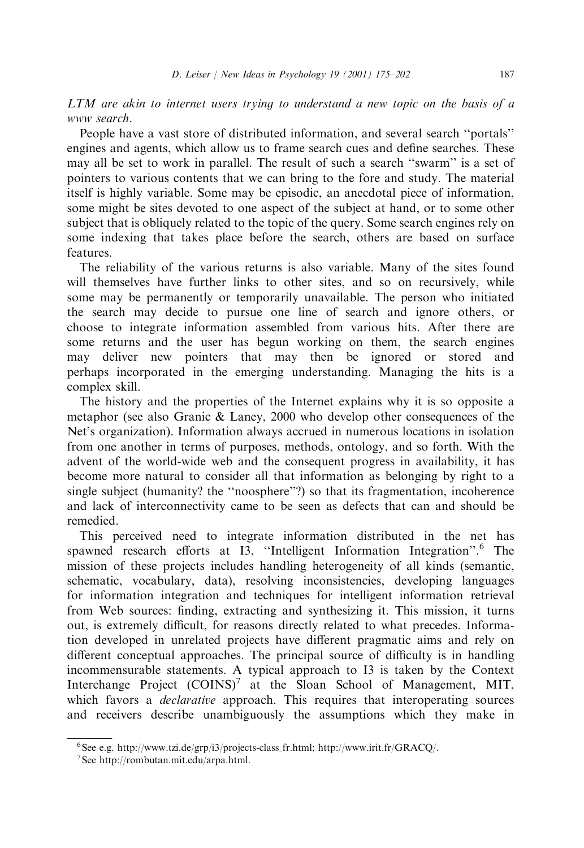LTM are akin to internet users trying to understand a new topic on the basis of a www search.

People have a vast store of distributed information, and several search ''portals'' engines and agents, which allow us to frame search cues and define searches. These may all be set to work in parallel. The result of such a search ''swarm'' is a set of pointers to various contents that we can bring to the fore and study. The material itself is highly variable. Some may be episodic, an anecdotal piece of information, some might be sites devoted to one aspect of the subject at hand, or to some other subject that is obliquely related to the topic of the query. Some search engines rely on some indexing that takes place before the search, others are based on surface features.

The reliability of the various returns is also variable. Many of the sites found will themselves have further links to other sites, and so on recursively, while some may be permanently or temporarily unavailable. The person who initiated the search may decide to pursue one line of search and ignore others, or choose to integrate information assembled from various hits. After there are some returns and the user has begun working on them, the search engines may deliver new pointers that may then be ignored or stored and perhaps incorporated in the emerging understanding. Managing the hits is a complex skill.

The history and the properties of the Internet explains why it is so opposite a metaphor (see also Granic & Laney, 2000 who develop other consequences of the Net's organization). Information always accrued in numerous locations in isolation fromone another in terms of purposes, methods, ontology, and so forth. With the advent of the world-wide web and the consequent progress in availability, it has become more natural to consider all that information as belonging by right to a single subject (humanity? the ''noosphere''?) so that its fragmentation, incoherence and lack of interconnectivity came to be seen as defects that can and should be remedied.

This perceived need to integrate information distributed in the net has spawned research efforts at I3, ''Intelligent Information Integration''.<sup>6</sup> The mission of these projects includes handling heterogeneity of all kinds (semantic, schematic, vocabulary, data), resolving inconsistencies, developing languages for information integration and techniques for intelligent information retrieval fromWeb sources: finding, extracting and synthesizing it. This mission, it turns out, is extremely difficult, for reasons directly related to what precedes. Information developed in unrelated projects have different pragmatic aims and rely on different conceptual approaches. The principal source of difficulty is in handling incommensurable statements. A typical approach to I3 is taken by the Context Interchange Project  $(COINS)^7$  at the Sloan School of Management, MIT, which favors a *declarative* approach. This requires that interoperating sources and receivers describe unambiguously the assumptions which they make in

<sup>&</sup>lt;sup>6</sup> See e.g. http://www.tzi.de/grp/i3/projects-class\_fr.html; http://www.irit.fr/GRACQ/.<br><sup>7</sup> See http://rombutan.mit.edu/arpa.html.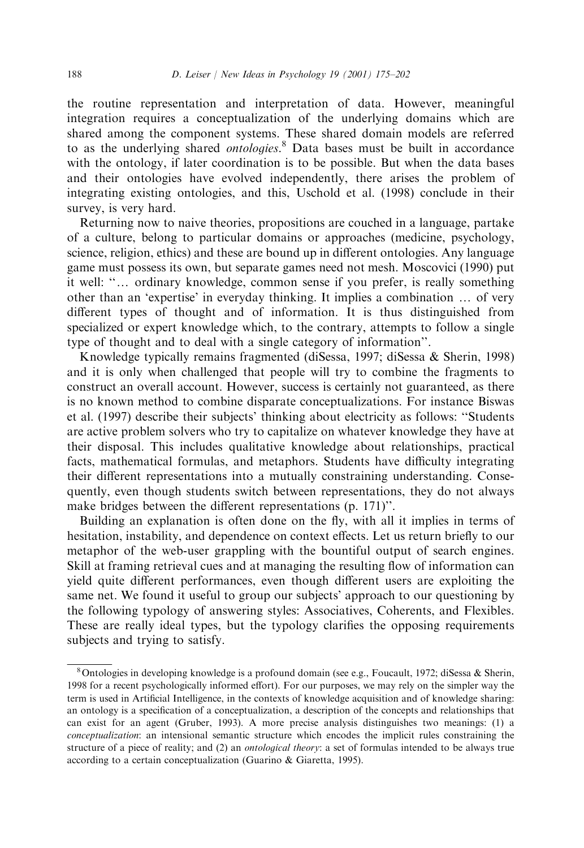the routine representation and interpretation of data. However, meaningful integration requires a conceptualization of the underlying domains which are shared among the component systems. These shared domain models are referred to as the underlying shared *ontologies*.<sup>8</sup> Data bases must be built in accordance with the ontology, if later coordination is to be possible. But when the data bases and their ontologies have evolved independently, there arises the problemof integrating existing ontologies, and this, Uschold et al. (1998) conclude in their survey, is very hard.

Returning now to naive theories, propositions are couched in a language, partake of a culture, belong to particular domains or approaches (medicine, psychology, science, religion, ethics) and these are bound up in different ontologies. Any language game must possess its own, but separate games need not mesh. Moscovici (1990) put it well: "... ordinary knowledge, common sense if you prefer, is really something other than an 'expertise' in everyday thinking. It implies a combination ... of very different types of thought and of information. It is thus distinguished from specialized or expert knowledge which, to the contrary, attempts to follow a single type of thought and to deal with a single category of information''.

Knowledge typically remains fragmented (diSessa, 1997; diSessa & Sherin, 1998) and it is only when challenged that people will try to combine the fragments to construct an overall account. However, success is certainly not guaranteed, as there is no known method to combine disparate conceptualizations. For instance Biswas et al. (1997) describe their subjects' thinking about electricity as follows: ''Students are active problemsolvers who try to capitalize on whatever knowledge they have at their disposal. This includes qualitative knowledge about relationships, practical facts, mathematical formulas, and metaphors. Students have difficulty integrating their different representations into a mutually constraining understanding. Consequently, even though students switch between representations, they do not always make bridges between the different representations (p. 171)''.

Building an explanation is often done on the fly, with all it implies in terms of hesitation, instability, and dependence on context effects. Let us return briefly to our metaphor of the web-user grappling with the bountiful output of search engines. Skill at framing retrieval cues and at managing the resulting flow of information can yield quite different performances, even though different users are exploiting the same net. We found it useful to group our subjects' approach to our questioning by the following typology of answering styles: Associatives, Coherents, and Flexibles. These are really ideal types, but the typology clarifies the opposing requirements subjects and trying to satisfy.

<sup>&</sup>lt;sup>8</sup> Ontologies in developing knowledge is a profound domain (see e.g., Foucault, 1972; diSessa & Sherin, 1998 for a recent psychologically informed effort). For our purposes, we may rely on the simpler way the termis used in Artificial Intelligence, in the contexts of knowledge acquisition and of knowledge sharing: an ontology is a specification of a conceptualization, a description of the concepts and relationships that can exist for an agent (Gruber, 1993). A more precise analysis distinguishes two meanings: (1) a conceptualization: an intensional semantic structure which encodes the implicit rules constraining the structure of a piece of reality; and (2) an ontological theory: a set of formulas intended to be always true according to a certain conceptualization (Guarino & Giaretta, 1995).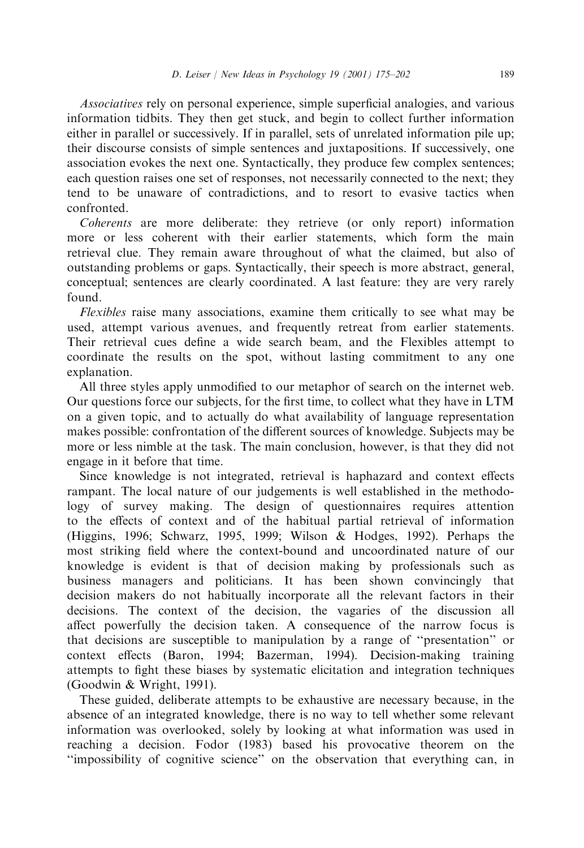Associatives rely on personal experience, simple superficial analogies, and various information tidbits. They then get stuck, and begin to collect further information either in parallel or successively. If in parallel, sets of unrelated information pile up; their discourse consists of simple sentences and juxtapositions. If successively, one association evokes the next one. Syntactically, they produce few complex sentences; each question raises one set of responses, not necessarily connected to the next; they tend to be unaware of contradictions, and to resort to evasive tactics when confronted.

Coherents are more deliberate: they retrieve (or only report) information more or less coherent with their earlier statements, which form the main retrieval clue. They remain aware throughout of what the claimed, but also of outstanding problems or gaps. Syntactically, their speech is more abstract, general, conceptual; sentences are clearly coordinated. A last feature: they are very rarely found.

Flexibles raise many associations, examine them critically to see what may be used, attempt various avenues, and frequently retreat from earlier statements. Their retrieval cues define a wide search beam, and the Flexibles attempt to coordinate the results on the spot, without lasting commitment to any one explanation.

All three styles apply unmodified to our metaphor of search on the internet web. Our questions force our subjects, for the first time, to collect what they have in LTM on a given topic, and to actually do what availability of language representation makes possible: confrontation of the different sources of knowledge. Subjects may be more or less nimble at the task. The main conclusion, however, is that they did not engage in it before that time.

Since knowledge is not integrated, retrieval is haphazard and context effects rampant. The local nature of our judgements is well established in the methodology of survey making. The design of questionnaires requires attention to the effects of context and of the habitual partial retrieval of information (Higgins, 1996; Schwarz, 1995, 1999; Wilson & Hodges, 1992). Perhaps the most striking field where the context-bound and uncoordinated nature of our knowledge is evident is that of decision making by professionals such as business managers and politicians. It has been shown convincingly that decision makers do not habitually incorporate all the relevant factors in their decisions. The context of the decision, the vagaries of the discussion all affect powerfully the decision taken. A consequence of the narrow focus is that decisions are susceptible to manipulation by a range of ''presentation'' or context effects (Baron, 1994; Bazerman, 1994). Decision-making training attempts to fight these biases by systematic elicitation and integration techniques (Goodwin & Wright, 1991).

These guided, deliberate attempts to be exhaustive are necessary because, in the absence of an integrated knowledge, there is no way to tell whether some relevant information was overlooked, solely by looking at what information was used in reaching a decision. Fodor (1983) based his provocative theorem on the ''impossibility of cognitive science'' on the observation that everything can, in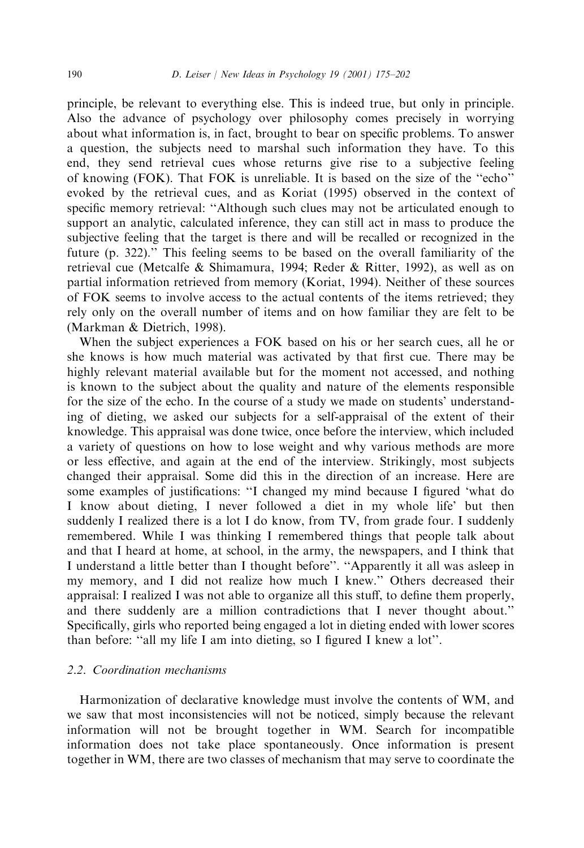principle, be relevant to everything else. This is indeed true, but only in principle. Also the advance of psychology over philosophy comes precisely in worrying about what information is, in fact, brought to bear on specific problems. To answer a question, the subjects need to marshal such information they have. To this end, they send retrieval cues whose returns give rise to a subjective feeling of knowing (FOK). That FOK is unreliable. It is based on the size of the ''echo'' evoked by the retrieval cues, and as Koriat (1995) observed in the context of specific memory retrieval: ''Although such clues may not be articulated enough to support an analytic, calculated inference, they can still act in mass to produce the subjective feeling that the target is there and will be recalled or recognized in the future (p. 322).'' This feeling seems to be based on the overall familiarity of the retrieval cue (Metcalfe & Shimamura, 1994; Reder & Ritter, 1992), as well as on partial information retrieved from memory (Koriat, 1994). Neither of these sources of FOK seems to involve access to the actual contents of the items retrieved; they rely only on the overall number of items and on how familiar they are felt to be (Markman & Dietrich, 1998).

When the subject experiences a FOK based on his or her search cues, all he or she knows is how much material was activated by that first cue. There may be highly relevant material available but for the moment not accessed, and nothing is known to the subject about the quality and nature of the elements responsible for the size of the echo. In the course of a study we made on students' understanding of dieting, we asked our subjects for a self-appraisal of the extent of their knowledge. This appraisal was done twice, once before the interview, which included a variety of questions on how to lose weight and why various methods are more or less effective, and again at the end of the interview. Strikingly, most subjects changed their appraisal. Some did this in the direction of an increase. Here are some examples of justifications: ''I changed my mind because I figured 'what do I know about dieting, I never followed a diet in my whole life' but then suddenly I realized there is a lot I do know, from TV, from grade four. I suddenly remembered. While I was thinking I remembered things that people talk about and that I heard at home, at school, in the army, the newspapers, and I think that I understand a little better than I thought before''. ''Apparently it all was asleep in my memory, and I did not realize how much I knew.'' Others decreased their appraisal: I realized I was not able to organize all this stuff, to define themproperly, and there suddenly are a million contradictions that I never thought about.'' Specifically, girls who reported being engaged a lot in dieting ended with lower scores than before: ''all my life I am into dieting, so I figured I knew a lot''.

#### 2.2. Coordination mechanisms

Harmonization of declarative knowledge must involve the contents of WM, and we saw that most inconsistencies will not be noticed, simply because the relevant information will not be brought together in WM. Search for incompatible information does not take place spontaneously. Once information is present together in WM, there are two classes of mechanism that may serve to coordinate the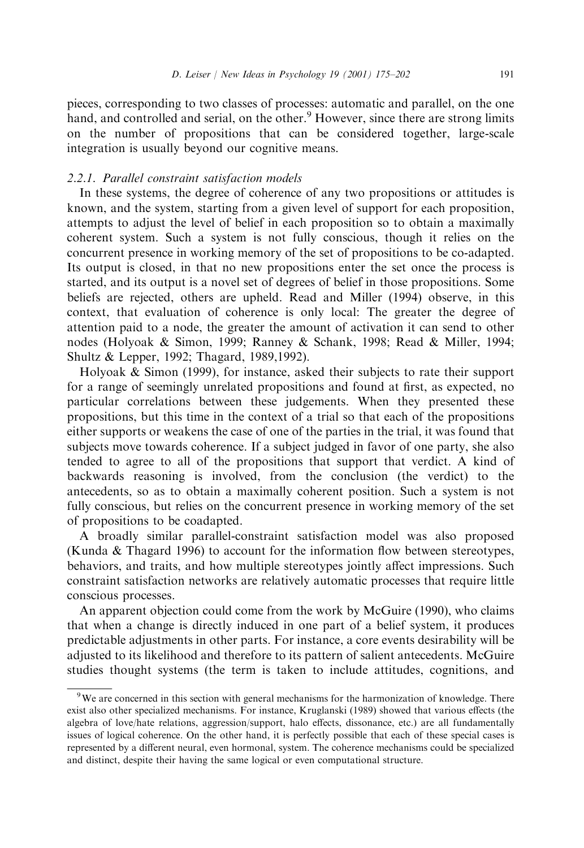pieces, corresponding to two classes of processes: automatic and parallel, on the one hand, and controlled and serial, on the other.<sup>9</sup> However, since there are strong limits on the number of propositions that can be considered together, large-scale integration is usually beyond our cognitive means.

# 2.2.1. Parallel constraint satisfaction models

In these systems, the degree of coherence of any two propositions or attitudes is known, and the system, starting from a given level of support for each proposition, attempts to adjust the level of belief in each proposition so to obtain a maximally coherent system. Such a system is not fully conscious, though it relies on the concurrent presence in working memory of the set of propositions to be co-adapted. Its output is closed, in that no new propositions enter the set once the process is started, and its output is a novel set of degrees of belief in those propositions. Some beliefs are rejected, others are upheld. Read and Miller (1994) observe, in this context, that evaluation of coherence is only local: The greater the degree of attention paid to a node, the greater the amount of activation it can send to other nodes (Holyoak & Simon, 1999; Ranney & Schank, 1998; Read & Miller, 1994; Shultz & Lepper, 1992; Thagard, 1989,1992).

Holyoak & Simon (1999), for instance, asked their subjects to rate their support for a range of seemingly unrelated propositions and found at first, as expected, no particular correlations between these judgements. When they presented these propositions, but this time in the context of a trial so that each of the propositions either supports or weakens the case of one of the parties in the trial, it was found that subjects move towards coherence. If a subject judged in favor of one party, she also tended to agree to all of the propositions that support that verdict. A kind of backwards reasoning is involved, from the conclusion (the verdict) to the antecedents, so as to obtain a maximally coherent position. Such a system is not fully conscious, but relies on the concurrent presence in working memory of the set of propositions to be coadapted.

A broadly similar parallel-constraint satisfaction model was also proposed (Kunda & Thagard 1996) to account for the information flow between stereotypes, behaviors, and traits, and how multiple stereotypes jointly affect impressions. Such constraint satisfaction networks are relatively automatic processes that require little conscious processes.

An apparent objection could come from the work by McGuire (1990), who claims that when a change is directly induced in one part of a belief system, it produces predictable adjustments in other parts. For instance, a core events desirability will be adjusted to its likelihood and therefore to its pattern of salient antecedents. McGuire studies thought systems (the term is taken to include attitudes, cognitions, and

<sup>&</sup>lt;sup>9</sup>We are concerned in this section with general mechanisms for the harmonization of knowledge. There exist also other specialized mechanisms. For instance, Kruglanski (1989) showed that various effects (the algebra of love/hate relations, aggression/support, halo effects, dissonance, etc.) are all fundamentally issues of logical coherence. On the other hand, it is perfectly possible that each of these special cases is represented by a different neural, even hormonal, system. The coherence mechanisms could be specialized and distinct, despite their having the same logical or even computational structure.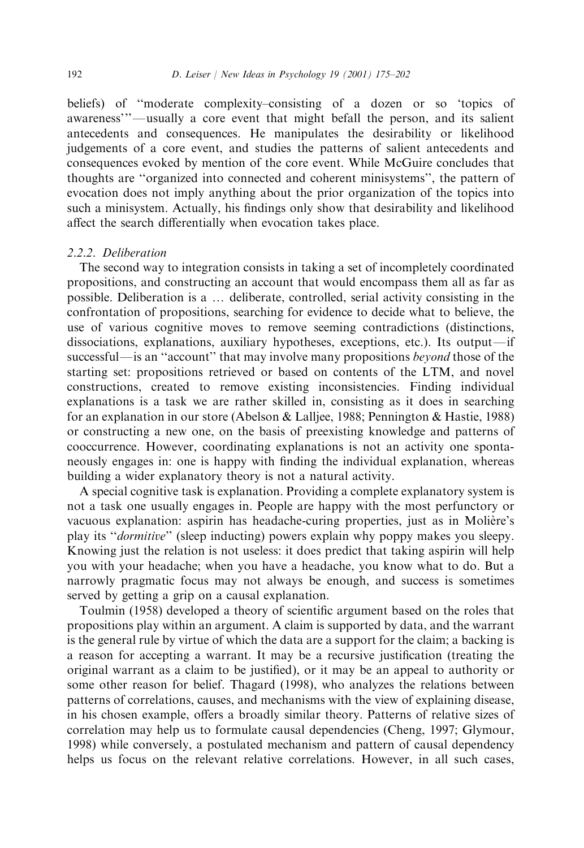beliefs) of ''moderate complexity–consisting of a dozen or so 'topics of awareness'"-usually a core event that might befall the person, and its salient antecedents and consequences. He manipulates the desirability or likelihood judgements of a core event, and studies the patterns of salient antecedents and consequences evoked by mention of the core event. While McGuire concludes that thoughts are ''organized into connected and coherent minisystems'', the pattern of evocation does not imply anything about the prior organization of the topics into such a minisystem. Actually, his findings only show that desirability and likelihood affect the search differentially when evocation takes place.

#### 2.2.2. Deliberation

The second way to integration consists in taking a set of incompletely coordinated propositions, and constructing an account that would encompass them all as far as possible. Deliberation is a  $\ldots$  deliberate, controlled, serial activity consisting in the confrontation of propositions, searching for evidence to decide what to believe, the use of various cognitive moves to remove seeming contradictions (distinctions, dissociations, explanations, auxiliary hypotheses, exceptions, etc.). Its output—if successful—is an "account" that may involve many propositions *beyond* those of the starting set: propositions retrieved or based on contents of the LTM, and novel constructions, created to remove existing inconsistencies. Finding individual explanations is a task we are rather skilled in, consisting as it does in searching for an explanation in our store (Abelson & Lalljee, 1988; Pennington & Hastie, 1988) or constructing a new one, on the basis of preexisting knowledge and patterns of cooccurrence. However, coordinating explanations is not an activity one spontaneously engages in: one is happy with finding the individual explanation, whereas building a wider explanatory theory is not a natural activity.

A special cognitive task is explanation. Providing a complete explanatory system is not a task one usually engages in. People are happy with the most perfunctory or vacuous explanation: aspirin has headache-curing properties, just as in Moliere's " play its ''dormitive'' (sleep inducting) powers explain why poppy makes you sleepy. Knowing just the relation is not useless: it does predict that taking aspirin will help you with your headache; when you have a headache, you know what to do. But a narrowly pragmatic focus may not always be enough, and success is sometimes served by getting a grip on a causal explanation.

Toulmin (1958) developed a theory of scientific argument based on the roles that propositions play within an argument. A claim is supported by data, and the warrant is the general rule by virtue of which the data are a support for the claim; a backing is a reason for accepting a warrant. It may be a recursive justification (treating the original warrant as a claimto be justified), or it may be an appeal to authority or some other reason for belief. Thagard (1998), who analyzes the relations between patterns of correlations, causes, and mechanisms with the view of explaining disease, in his chosen example, offers a broadly similar theory. Patterns of relative sizes of correlation may help us to formulate causal dependencies (Cheng, 1997; Glymour, 1998) while conversely, a postulated mechanism and pattern of causal dependency helps us focus on the relevant relative correlations. However, in all such cases,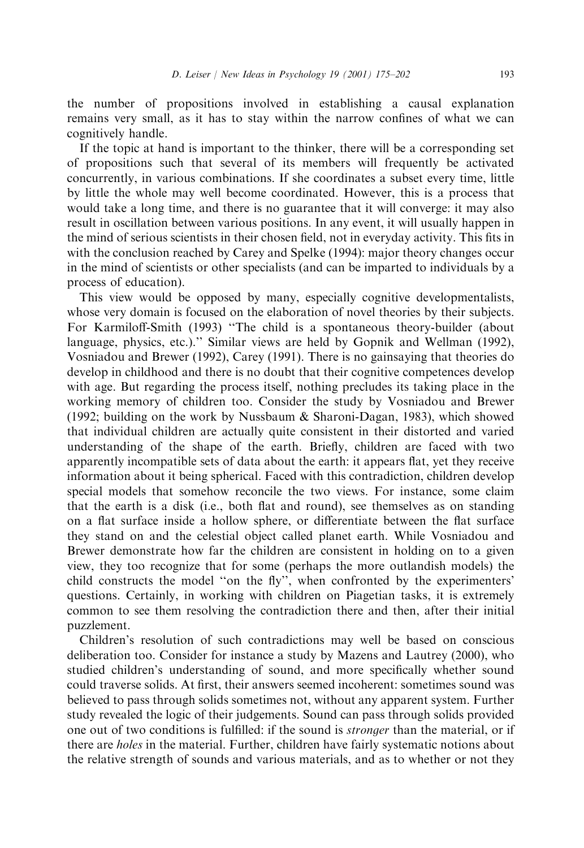the number of propositions involved in establishing a causal explanation remains very small, as it has to stay within the narrow confines of what we can cognitively handle.

If the topic at hand is important to the thinker, there will be a corresponding set of propositions such that several of its members will frequently be activated concurrently, in various combinations. If she coordinates a subset every time, little by little the whole may well become coordinated. However, this is a process that would take a long time, and there is no guarantee that it will converge: it may also result in oscillation between various positions. In any event, it will usually happen in the mind of serious scientists in their chosen field, not in everyday activity. This fits in with the conclusion reached by Carey and Spelke (1994): major theory changes occur in the mind of scientists or other specialists (and can be imparted to individuals by a process of education).

This view would be opposed by many, especially cognitive developmentalists, whose very domain is focused on the elaboration of novel theories by their subjects. For Karmiloff-Smith (1993) ''The child is a spontaneous theory-builder (about language, physics, etc.).'' Similar views are held by Gopnik and Wellman (1992), Vosniadou and Brewer (1992), Carey (1991). There is no gainsaying that theories do develop in childhood and there is no doubt that their cognitive competences develop with age. But regarding the process itself, nothing precludes its taking place in the working memory of children too. Consider the study by Vosniadou and Brewer (1992; building on the work by Nussbaum& Sharoni-Dagan, 1983), which showed that individual children are actually quite consistent in their distorted and varied understanding of the shape of the earth. Briefly, children are faced with two apparently incompatible sets of data about the earth: it appears flat, yet they receive information about it being spherical. Faced with this contradiction, children develop special models that somehow reconcile the two views. For instance, some claim that the earth is a disk (i.e., both flat and round), see themselves as on standing on a flat surface inside a hollow sphere, or differentiate between the flat surface they stand on and the celestial object called planet earth. While Vosniadou and Brewer demonstrate how far the children are consistent in holding on to a given view, they too recognize that for some (perhaps the more outlandish models) the child constructs the model ''on the fly'', when confronted by the experimenters' questions. Certainly, in working with children on Piagetian tasks, it is extremely common to see them resolving the contradiction there and then, after their initial puzzlement.

Children's resolution of such contradictions may well be based on conscious deliberation too. Consider for instance a study by Mazens and Lautrey (2000), who studied children's understanding of sound, and more specifically whether sound could traverse solids. At first, their answers seemed incoherent: sometimes sound was believed to pass through solids sometimes not, without any apparent system. Further study revealed the logic of their judgements. Sound can pass through solids provided one out of two conditions is fulfilled: if the sound is stronger than the material, or if there are *holes* in the material. Further, children have fairly systematic notions about the relative strength of sounds and various materials, and as to whether or not they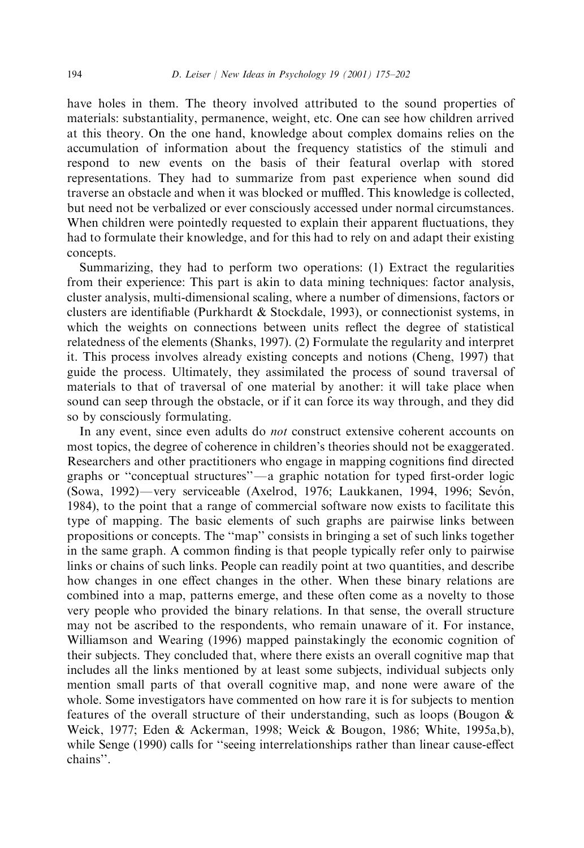have holes in them. The theory involved attributed to the sound properties of materials: substantiality, permanence, weight, etc. One can see how children arrived at this theory. On the one hand, knowledge about complex domains relies on the accumulation of information about the frequency statistics of the stimuli and respond to new events on the basis of their featural overlap with stored representations. They had to summarize from past experience when sound did traverse an obstacle and when it was blocked or muffled. This knowledge is collected, but need not be verbalized or ever consciously accessed under normal circumstances. When children were pointedly requested to explain their apparent fluctuations, they had to formulate their knowledge, and for this had to rely on and adapt their existing concepts.

Summarizing, they had to perform two operations: (1) Extract the regularities fromtheir experience: This part is akin to data mining techniques: factor analysis, cluster analysis, multi-dimensional scaling, where a number of dimensions, factors or clusters are identifiable (Purkhardt & Stockdale, 1993), or connectionist systems, in which the weights on connections between units reflect the degree of statistical relatedness of the elements (Shanks, 1997). (2) Formulate the regularity and interpret it. This process involves already existing concepts and notions (Cheng, 1997) that guide the process. Ultimately, they assimilated the process of sound traversal of materials to that of traversal of one material by another: it will take place when sound can seep through the obstacle, or if it can force its way through, and they did so by consciously formulating.

In any event, since even adults do *not* construct extensive coherent accounts on most topics, the degree of coherence in children's theories should not be exaggerated. Researchers and other practitioners who engage in mapping cognitions find directed graphs or "conceptual structures" $\overline{a}$  graphic notation for typed first-order logic (Sowa, 1992)—very serviceable (Axelrod, 1976; Laukkanen, 1994, 1996; Sevón, 1984), to the point that a range of commercial software now exists to facilitate this type of mapping. The basic elements of such graphs are pairwise links between propositions or concepts. The ''map'' consists in bringing a set of such links together in the same graph. A common finding is that people typically refer only to pairwise links or chains of such links. People can readily point at two quantities, and describe how changes in one effect changes in the other. When these binary relations are combined into a map, patterns emerge, and these often come as a novelty to those very people who provided the binary relations. In that sense, the overall structure may not be ascribed to the respondents, who remain unaware of it. For instance, Williamson and Wearing (1996) mapped painstakingly the economic cognition of their subjects. They concluded that, where there exists an overall cognitive map that includes all the links mentioned by at least some subjects, individual subjects only mention small parts of that overall cognitive map, and none were aware of the whole. Some investigators have commented on how rare it is for subjects to mention features of the overall structure of their understanding, such as loops (Bougon & Weick, 1977; Eden & Ackerman, 1998; Weick & Bougon, 1986; White, 1995a,b), while Senge (1990) calls for "seeing interrelationships rather than linear cause-effect chains''.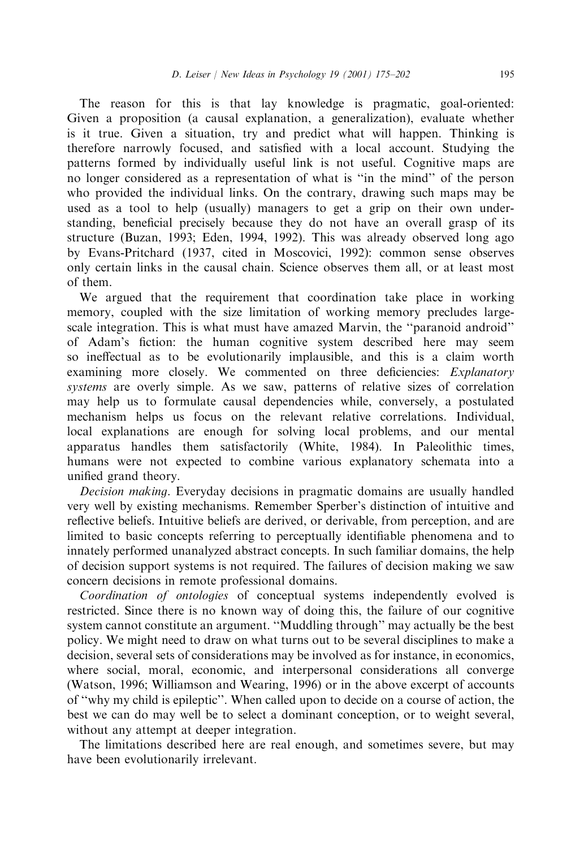The reason for this is that lay knowledge is pragmatic, goal-oriented: Given a proposition (a causal explanation, a generalization), evaluate whether is it true. Given a situation, try and predict what will happen. Thinking is therefore narrowly focused, and satisfied with a local account. Studying the patterns formed by individually useful link is not useful. Cognitive maps are no longer considered as a representation of what is ''in the mind'' of the person who provided the individual links. On the contrary, drawing such maps may be used as a tool to help (usually) managers to get a grip on their own understanding, beneficial precisely because they do not have an overall grasp of its structure (Buzan, 1993; Eden, 1994, 1992). This was already observed long ago by Evans-Pritchard (1937, cited in Moscovici, 1992): common sense observes only certain links in the causal chain. Science observes themall, or at least most of them.

We argued that the requirement that coordination take place in working memory, coupled with the size limitation of working memory precludes largescale integration. This is what must have amazed Marvin, the ''paranoid android'' of Adam's fiction: the human cognitive system described here may seem so ineffectual as to be evolutionarily implausible, and this is a claim worth examining more closely. We commented on three deficiencies: *Explanatory* systems are overly simple. As we saw, patterns of relative sizes of correlation may help us to formulate causal dependencies while, conversely, a postulated mechanism helps us focus on the relevant relative correlations. Individual, local explanations are enough for solving local problems, and our mental apparatus handles them satisfactorily (White, 1984). In Paleolithic times, humans were not expected to combine various explanatory schemata into a unified grand theory.

Decision making. Everyday decisions in pragmatic domains are usually handled very well by existing mechanisms. Remember Sperber's distinction of intuitive and reflective beliefs. Intuitive beliefs are derived, or derivable, fromperception, and are limited to basic concepts referring to perceptually identifiable phenomena and to innately performed unanalyzed abstract concepts. In such familiar domains, the help of decision support systems is not required. The failures of decision making we saw concern decisions in remote professional domains.

Coordination of ontologies of conceptual systems independently evolved is restricted. Since there is no known way of doing this, the failure of our cognitive system cannot constitute an argument. ''Muddling through'' may actually be the best policy. We might need to draw on what turns out to be several disciplines to make a decision, several sets of considerations may be involved as for instance, in economics, where social, moral, economic, and interpersonal considerations all converge (Watson, 1996; Williamson and Wearing, 1996) or in the above excerpt of accounts of ''why my child is epileptic''. When called upon to decide on a course of action, the best we can do may well be to select a dominant conception, or to weight several, without any attempt at deeper integration.

The limitations described here are real enough, and sometimes severe, but may have been evolutionarily irrelevant.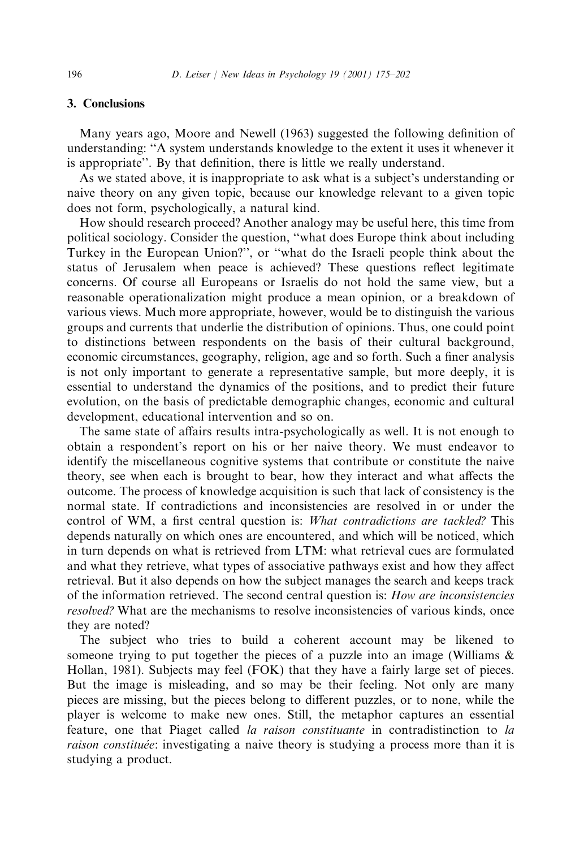# 3. Conclusions

Many years ago, Moore and Newell (1963) suggested the following definition of understanding: ''A systemunderstands knowledge to the extent it uses it whenever it is appropriate''. By that definition, there is little we really understand.

As we stated above, it is inappropriate to ask what is a subject's understanding or naive theory on any given topic, because our knowledge relevant to a given topic does not form, psychologically, a natural kind.

How should research proceed? Another analogy may be useful here, this time from political sociology. Consider the question, ''what does Europe think about including Turkey in the European Union?'', or ''what do the Israeli people think about the status of Jerusalemwhen peace is achieved? These questions reflect legitimate concerns. Of course all Europeans or Israelis do not hold the same view, but a reasonable operationalization might produce a mean opinion, or a breakdown of various views. Much more appropriate, however, would be to distinguish the various groups and currents that underlie the distribution of opinions. Thus, one could point to distinctions between respondents on the basis of their cultural background, economic circumstances, geography, religion, age and so forth. Such a finer analysis is not only important to generate a representative sample, but more deeply, it is essential to understand the dynamics of the positions, and to predict their future evolution, on the basis of predictable demographic changes, economic and cultural development, educational intervention and so on.

The same state of affairs results intra-psychologically as well. It is not enough to obtain a respondent's report on his or her naive theory. We must endeavor to identify the miscellaneous cognitive systems that contribute or constitute the naive theory, see when each is brought to bear, how they interact and what affects the outcome. The process of knowledge acquisition is such that lack of consistency is the normal state. If contradictions and inconsistencies are resolved in or under the control of WM, a first central question is: What contradictions are tackled? This depends naturally on which ones are encountered, and which will be noticed, which in turn depends on what is retrieved fromLTM: what retrieval cues are formulated and what they retrieve, what types of associative pathways exist and how they affect retrieval. But it also depends on how the subject manages the search and keeps track of the information retrieved. The second central question is: How are inconsistencies resolved? What are the mechanisms to resolve inconsistencies of various kinds, once they are noted?

The subject who tries to build a coherent account may be likened to someone trying to put together the pieces of a puzzle into an image (Williams  $\&$ Hollan, 1981). Subjects may feel (FOK) that they have a fairly large set of pieces. But the image is misleading, and so may be their feeling. Not only are many pieces are missing, but the pieces belong to different puzzles, or to none, while the player is welcome to make new ones. Still, the metaphor captures an essential feature, one that Piaget called la raison constituante in contradistinction to la raison constituée: investigating a naive theory is studying a process more than it is studying a product.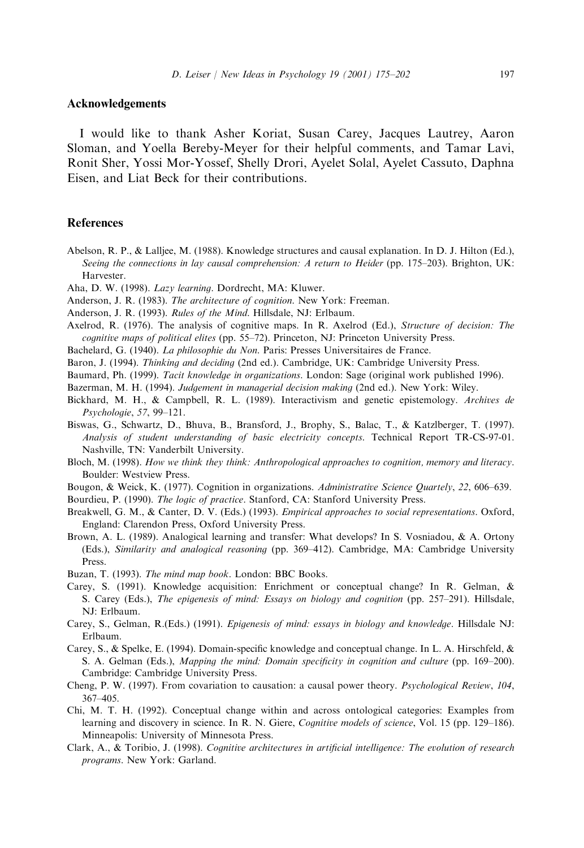# Acknowledgements

I would like to thank Asher Koriat, Susan Carey, Jacques Lautrey, Aaron Sloman, and Yoella Bereby-Meyer for their helpful comments, and Tamar Lavi, Ronit Sher, Yossi Mor-Yossef, Shelly Drori, Ayelet Solal, Ayelet Cassuto, Daphna Eisen, and Liat Beck for their contributions.

#### References

- Abelson, R. P., & Lalljee, M. (1988). Knowledge structures and causal explanation. In D. J. Hilton (Ed.), Seeing the connections in lay causal comprehension: A return to Heider (pp. 175–203). Brighton, UK: Harvester.
- Aha, D. W. (1998). Lazy learning. Dordrecht, MA: Kluwer.
- Anderson, J. R. (1983). The architecture of cognition. New York: Freeman.
- Anderson, J. R. (1993). Rules of the Mind. Hillsdale, NJ: Erlbaum.
- Axelrod, R. (1976). The analysis of cognitive maps. In R. Axelrod (Ed.), Structure of decision: The cognitive maps of political elites (pp. 55–72). Princeton, NJ: Princeton University Press.
- Bachelard, G. (1940). La philosophie du Non. Paris: Presses Universitaires de France.
- Baron, J. (1994). Thinking and deciding (2nd ed.). Cambridge, UK: Cambridge University Press.
- Baumard, Ph. (1999). *Tacit knowledge in organizations*. London: Sage (original work published 1996).
- Bazerman, M. H. (1994). Judgement in managerial decision making (2nd ed.). New York: Wiley.
- Bickhard, M. H., & Campbell, R. L. (1989). Interactivism and genetic epistemology. Archives de Psychologie, 57, 99–121.
- Biswas, G., Schwartz, D., Bhuva, B., Bransford, J., Brophy, S., Balac, T., & Katzlberger, T. (1997). Analysis of student understanding of basic electricity concepts. Technical Report TR-CS-97-01. Nashville, TN: Vanderbilt University.
- Bloch, M. (1998). How we think they think: Anthropological approaches to cognition, memory and literacy. Boulder: Westview Press.
- Bougon, & Weick, K. (1977). Cognition in organizations. Administrative Science Quartely, 22, 606–639.
- Bourdieu, P. (1990). The logic of practice. Stanford, CA: Stanford University Press.
- Breakwell, G. M., & Canter, D. V. (Eds.) (1993). Empirical approaches to social representations. Oxford, England: Clarendon Press, Oxford University Press.
- Brown, A. L. (1989). Analogical learning and transfer: What develops? In S. Vosniadou, & A. Ortony (Eds.), Similarity and analogical reasoning (pp. 369–412). Cambridge, MA: Cambridge University Press.
- Buzan, T. (1993). The mind map book. London: BBC Books.
- Carey, S. (1991). Knowledge acquisition: Enrichment or conceptual change? In R. Gelman, & S. Carey (Eds.), The epigenesis of mind: Essays on biology and cognition (pp. 257–291). Hillsdale, NJ: Erlbaum.
- Carey, S., Gelman, R.(Eds.) (1991). Epigenesis of mind: essays in biology and knowledge. Hillsdale NJ: Erlbaum.
- Carey, S., & Spelke, E. (1994). Domain-specific knowledge and conceptual change. In L. A. Hirschfeld, & S. A. Gelman (Eds.), Mapping the mind: Domain specificity in cognition and culture (pp. 169–200). Cambridge: Cambridge University Press.
- Cheng, P. W. (1997). From covariation to causation: a causal power theory. Psychological Review, 104, 367–405.
- Chi, M. T. H. (1992). Conceptual change within and across ontological categories: Examples from learning and discovery in science. In R. N. Giere, *Cognitive models of science*, Vol. 15 (pp. 129–186). Minneapolis: University of Minnesota Press.
- Clark, A., & Toribio, J. (1998). Cognitive architectures in artificial intelligence: The evolution of research programs. New York: Garland.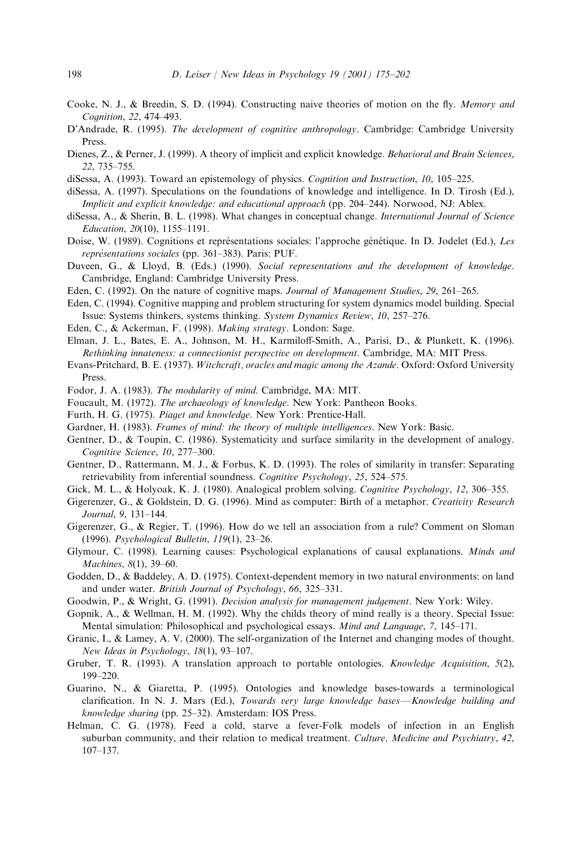- Cooke, N. J., & Breedin, S. D. (1994). Constructing naive theories of motion on the fly. Memory and Cognition, 22, 474–493.
- D'Andrade, R. (1995). The development of cognitive anthropology. Cambridge: Cambridge University Press.
- Dienes, Z., & Perner, J. (1999). A theory of implicit and explicit knowledge. Behavioral and Brain Sciences, 22, 735–755.
- diSessa, A. (1993). Toward an epistemology of physics. Cognition and Instruction, 10, 105–225.
- diSessa, A. (1997). Speculations on the foundations of knowledge and intelligence. In D. Tirosh (Ed.), Implicit and explicit knowledge: and educational approach (pp. 204–244). Norwood, NJ: Ablex.
- diSessa, A., & Sherin, B. L. (1998). What changes in conceptual change. International Journal of Science Education, 20(10), 1155–1191.
- Doise, W. (1989). Cognitions et représentations sociales: l'approche génétique. In D. Jodelet (Ed.), Les représentations sociales (pp. 361–383). Paris: PUF.
- Duveen, G., & Lloyd, B. (Eds.) (1990). Social representations and the development of knowledge. Cambridge, England: Cambridge University Press.
- Eden, C. (1992). On the nature of cognitive maps. Journal of Management Studies, 29, 261–265.
- Eden, C. (1994). Cognitive mapping and problem structuring for system dynamics model building. Special Issue: Systems thinkers, systems thinking. System Dynamics Review, 10, 257–276.
- Eden, C., & Ackerman, F. (1998). *Makina strategy*. London: Sage.
- Elman, J. L., Bates, E. A., Johnson, M. H., Karmiloff-Smith, A., Parisi, D., & Plunkett, K. (1996). Rethinking innateness: a connectionist perspective on development. Cambridge, MA: MIT Press.
- Evans-Pritchard, B. E. (1937). Witchcraft, oracles and magic among the Azande. Oxford: Oxford University Press.
- Fodor, J. A. (1983). The modularity of mind. Cambridge, MA: MIT.
- Foucault, M. (1972). The archaeology of knowledge. New York: Pantheon Books.
- Furth, H. G. (1975). Piaget and knowledge. New York: Prentice-Hall.
- Gardner, H. (1983). Frames of mind: the theory of multiple intelligences. New York: Basic.
- Gentner, D., & Toupin, C. (1986). Systematicity and surface similarity in the development of analogy. Cognitive Science, 10, 277–300.
- Gentner, D., Rattermann, M. J., & Forbus, K. D. (1993). The roles of similarity in transfer: Separating retrievability from inferential soundness. Cognitive Psychology, 25, 524–575.
- Gick, M. L., & Holyoak, K. J. (1980). Analogical problem solving. Cognitive Psychology, 12, 306-355.
- Gigerenzer, G., & Goldstein, D. G. (1996). Mind as computer: Birth of a metaphor. Creativity Research Journal, 9, 131–144.
- Gigerenzer, G., & Regier, T. (1996). How do we tell an association from a rule? Comment on Sloman (1996). Psychological Bulletin, 119(1), 23–26.
- Glymour, C. (1998). Learning causes: Psychological explanations of causal explanations. Minds and Machines, 8(1), 39–60.
- Godden, D., & Baddeley, A. D. (1975). Context-dependent memory in two natural environments: on land and under water. British Journal of Psychology, 66, 325–331.
- Goodwin, P., & Wright, G. (1991). *Decision analysis for management judgement*. New York: Wiley.
- Gopnik, A., & Wellman, H. M. (1992). Why the childs theory of mind really is a theory. Special Issue: Mental simulation: Philosophical and psychological essays. *Mind and Language*, 7, 145–171.
- Granic, I., & Lamey, A. V. (2000). The self-organization of the Internet and changing modes of thought. New Ideas in Psychology, 18(1), 93–107.
- Gruber, T. R. (1993). A translation approach to portable ontologies. Knowledge Acquisition, 5(2), 199–220.
- Guarino, N., & Giaretta, P. (1995). Ontologies and knowledge bases-towards a terminological clarification. In N. J. Mars (Ed.), Towards very large knowledge bases-Knowledge building and knowledge sharing (pp. 25–32). Amsterdam: IOS Press.
- Helman, C. G. (1978). Feed a cold, starve a fever-Folk models of infection in an English suburban community, and their relation to medical treatment. Culture, Medicine and Psychiatry, 42, 107–137.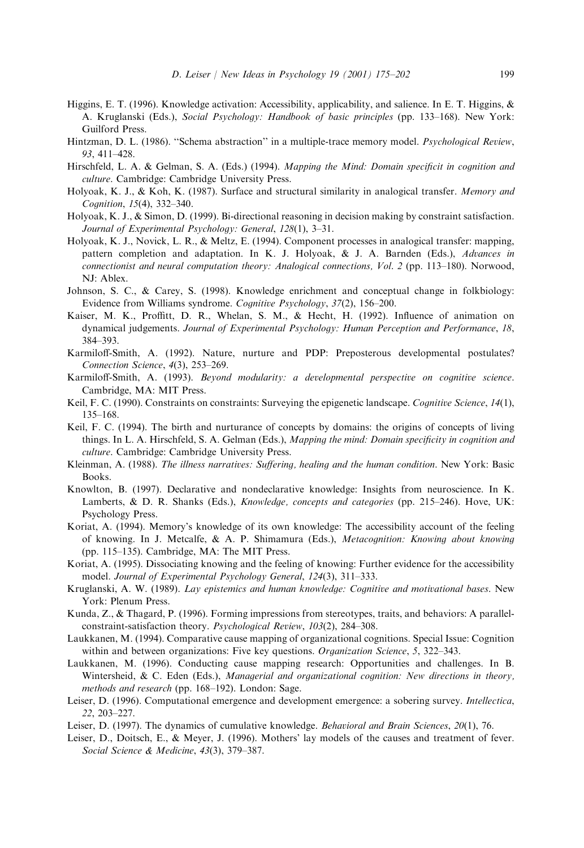- Higgins, E. T. (1996). Knowledge activation: Accessibility, applicability, and salience. In E. T. Higgins, & A. Kruglanski (Eds.), Social Psychology: Handbook of basic principles (pp. 133–168). New York: Guilford Press.
- Hintzman, D. L. (1986). "Schema abstraction" in a multiple-trace memory model. Psychological Review, 93, 411–428.
- Hirschfeld, L. A. & Gelman, S. A. (Eds.) (1994). Mapping the Mind: Domain specificit in cognition and culture. Cambridge: Cambridge University Press.
- Holyoak, K. J., & Koh, K. (1987). Surface and structural similarity in analogical transfer. Memory and Cognition, 15(4), 332–340.
- Holyoak, K. J., & Simon, D. (1999). Bi-directional reasoning in decision making by constraint satisfaction. Journal of Experimental Psychology: General, 128(1), 3–31.
- Holyoak, K. J., Novick, L. R., & Meltz, E. (1994). Component processes in analogical transfer: mapping, pattern completion and adaptation. In K. J. Holyoak, & J. A. Barnden (Eds.), Advances in connectionist and neural computation theory: Analogical connections, Vol. 2 (pp. 113–180). Norwood, NJ: Ablex.
- Johnson, S. C., & Carey, S. (1998). Knowledge enrichment and conceptual change in folkbiology: Evidence from Williams syndrome. Cognitive Psychology, 37(2), 156–200.
- Kaiser, M. K., Proffitt, D. R., Whelan, S. M., & Hecht, H. (1992). Influence of animation on dynamical judgements. Journal of Experimental Psychology: Human Perception and Performance, 18, 384–393.
- Karmiloff-Smith, A. (1992). Nature, nurture and PDP: Preposterous developmental postulates? Connection Science, 4(3), 253–269.
- Karmiloff-Smith, A. (1993). Beyond modularity: a developmental perspective on cognitive science. Cambridge, MA: MIT Press.
- Keil, F. C. (1990). Constraints on constraints: Surveying the epigenetic landscape. Cognitive Science, 14(1), 135–168.
- Keil, F. C. (1994). The birth and nurturance of concepts by domains: the origins of concepts of living things. In L. A. Hirschfeld, S. A. Gelman (Eds.), Mapping the mind: Domain specificity in cognition and culture. Cambridge: Cambridge University Press.
- Kleinman, A. (1988). The illness narratives: Suffering, healing and the human condition. New York: Basic Books.
- Knowlton, B. (1997). Declarative and nondeclarative knowledge: Insights fromneuroscience. In K. Lamberts, & D. R. Shanks (Eds.), *Knowledge, concepts and categories* (pp. 215–246). Hove, UK: Psychology Press.
- Koriat, A. (1994). Memory's knowledge of its own knowledge: The accessibility account of the feeling of knowing. In J. Metcalfe, & A. P. Shimamura (Eds.), Metacognition: Knowing about knowing (pp. 115–135). Cambridge, MA: The MIT Press.
- Koriat, A. (1995). Dissociating knowing and the feeling of knowing: Further evidence for the accessibility model. Journal of Experimental Psychology General, 124(3), 311–333.
- Kruglanski, A. W. (1989). Lay epistemics and human knowledge: Cognitive and motivational bases. New York: Plenum Press.
- Kunda, Z., & Thagard, P. (1996). Forming impressions from stereotypes, traits, and behaviors: A parallelconstraint-satisfaction theory. Psychological Review, 103(2), 284–308.
- Laukkanen, M. (1994). Comparative cause mapping of organizational cognitions. Special Issue: Cognition within and between organizations: Five key questions. Organization Science, 5, 322–343.
- Laukkanen, M. (1996). Conducting cause mapping research: Opportunities and challenges. In B. Wintersheid, & C. Eden (Eds.), Managerial and organizational cognition: New directions in theory, methods and research (pp. 168–192). London: Sage.
- Leiser, D. (1996). Computational emergence and development emergence: a sobering survey. Intellectica, 22, 203–227.
- Leiser, D. (1997). The dynamics of cumulative knowledge. *Behavioral and Brain Sciences*, 20(1), 76.
- Leiser, D., Doitsch, E., & Meyer, J. (1996). Mothers' lay models of the causes and treatment of fever. Social Science & Medicine, 43(3), 379–387.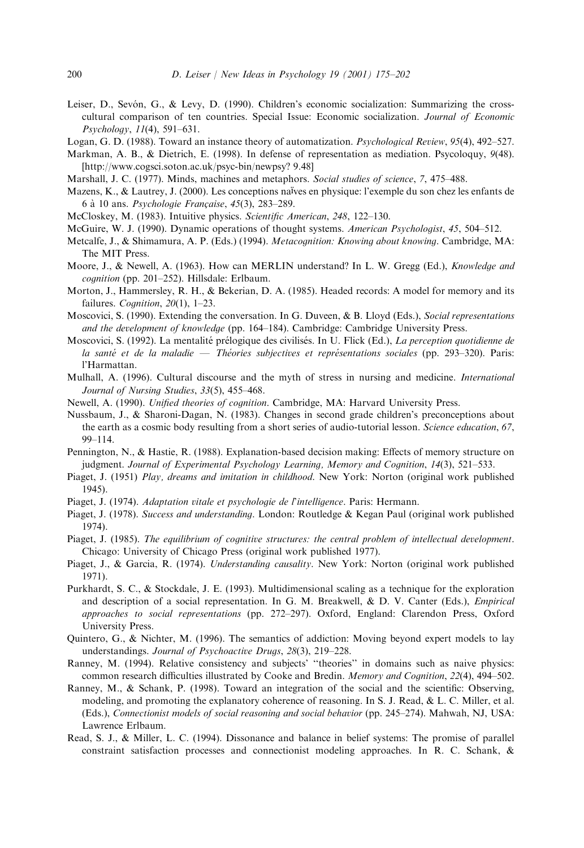Leiser, D., Sevón, G., & Levy, D. (1990). Children's economic socialization: Summarizing the crosscultural comparison of ten countries. Special Issue: Economic socialization. Journal of Economic Psychology, 11(4), 591–631.

Logan, G. D. (1988). Toward an instance theory of automatization. Psychological Review, 95(4), 492–527.

Markman, A. B., & Dietrich, E. (1998). In defense of representation as mediation. Psycoloquy, 9(48). [http://www.cogsci.soton.ac.uk/psyc-bin/newpsy? 9.48]

- Marshall, J. C. (1977). Minds, machines and metaphors. Social studies of science, 7, 475-488.
- Mazens, K., & Lautrey, J. (2000). Les conceptions naïves en physique: l'exemple du son chez les enfants de 6 à 10 ans. Psychologie Française,  $45(3)$ ,  $283-289$ .
- McCloskey, M. (1983). Intuitive physics. Scientific American, 248, 122–130.
- McGuire, W. J. (1990). Dynamic operations of thought systems. American Psychologist, 45, 504–512.
- Metcalfe, J., & Shimamura, A. P. (Eds.) (1994). *Metacognition: Knowing about knowing*. Cambridge, MA: The MIT Press.
- Moore, J., & Newell, A. (1963). How can MERLIN understand? In L. W. Gregg (Ed.), *Knowledge and* cognition (pp. 201–252). Hillsdale: Erlbaum.
- Morton, J., Hammersley, R. H., & Bekerian, D. A. (1985). Headed records: A model for memory and its failures. *Cognition*, 20(1), 1-23.
- Moscovici, S. (1990). Extending the conversation. In G. Duveen, & B. Lloyd (Eds.), Social representations and the development of knowledge (pp. 164–184). Cambridge: Cambridge University Press.
- Moscovici, S. (1992). La mentalité prélogique des civilisés. In U. Flick (Ed.), La perception quotidienne de la santé et de la maladie — Théories subjectives et représentations sociales (pp. 293-320). Paris: l'Harmattan.
- Mulhall, A. (1996). Cultural discourse and the myth of stress in nursing and medicine. *International* Journal of Nursing Studies, 33(5), 455–468.
- Newell, A. (1990). Unified theories of cognition. Cambridge, MA: Harvard University Press.
- Nussbaum, J., & Sharoni-Dagan, N. (1983). Changes in second grade children's preconceptions about the earth as a cosmic body resulting from a short series of audio-tutorial lesson. Science education, 67, 99–114.
- Pennington, N., & Hastie, R. (1988). Explanation-based decision making: Effects of memory structure on judgment. Journal of Experimental Psychology Learning, Memory and Cognition, 14(3), 521–533.
- Piaget, J. (1951) Play, dreams and imitation in childhood. New York: Norton (original work published 1945).
- Piaget, J. (1974). Adaptation vitale et psychologie de l'intelligence. Paris: Hermann.
- Piaget, J. (1978). Success and understanding. London: Routledge & Kegan Paul (original work published 1974).
- Piaget, J. (1985). The equilibrium of cognitive structures: the central problem of intellectual development. Chicago: University of Chicago Press (original work published 1977).
- Piaget, J., & Garcia, R. (1974). Understanding causality. New York: Norton (original work published 1971).
- Purkhardt, S. C., & Stockdale, J. E. (1993). Multidimensional scaling as a technique for the exploration and description of a social representation. In G. M. Breakwell, & D. V. Canter (Eds.), Empirical approaches to social representations (pp. 272–297). Oxford, England: Clarendon Press, Oxford University Press.
- Quintero, G., & Nichter, M. (1996). The semantics of addiction: Moving beyond expert models to lay understandings. Journal of Psychoactive Drugs, 28(3), 219–228.
- Ranney, M. (1994). Relative consistency and subjects' ''theories'' in domains such as naive physics: common research difficulties illustrated by Cooke and Bredin. Memory and Cognition, 22(4), 494–502.
- Ranney, M., & Schank, P. (1998). Toward an integration of the social and the scientific: Observing, modeling, and promoting the explanatory coherence of reasoning. In S. J. Read, & L. C. Miller, et al. (Eds.), Connectionist models of social reasoning and social behavior (pp. 245–274). Mahwah, NJ, USA: Lawrence Erlbaum.
- Read, S. J., & Miller, L. C. (1994). Dissonance and balance in belief systems: The promise of parallel constraint satisfaction processes and connectionist modeling approaches. In R. C. Schank, &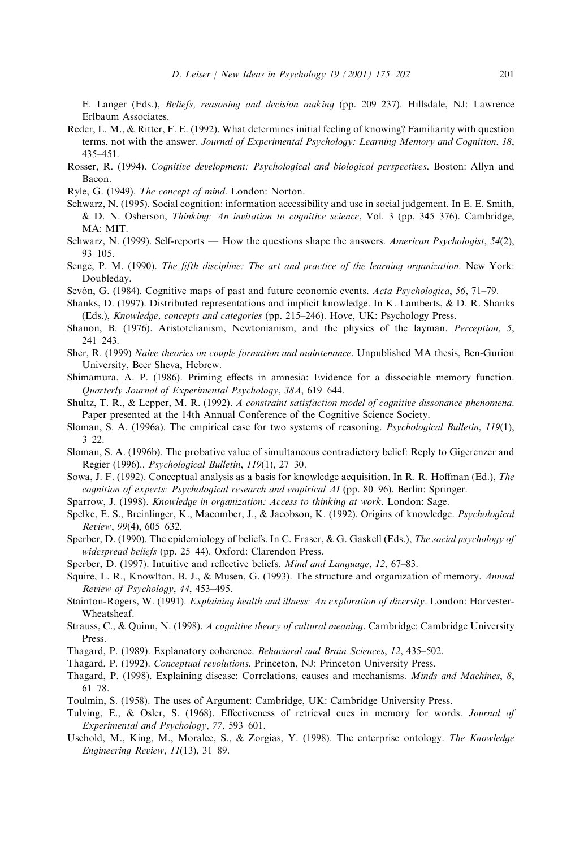E. Langer (Eds.), Beliefs, reasoning and decision making (pp. 209–237). Hillsdale, NJ: Lawrence Erlbaum Associates.

- Reder, L. M., & Ritter, F. E. (1992). What determines initial feeling of knowing? Familiarity with question terms, not with the answer. Journal of Experimental Psychology: Learning Memory and Cognition, 18, 435–451.
- Rosser, R. (1994). Cognitive development: Psychological and biological perspectives. Boston: Allyn and Bacon.
- Ryle, G. (1949). The concept of mind. London: Norton.
- Schwarz, N. (1995). Social cognition: information accessibility and use in social judgement. In E. E. Smith, & D. N. Osherson, Thinking: An invitation to cognitive science, Vol. 3 (pp. 345–376). Cambridge, MA: MIT.
- Schwarz, N. (1999). Self-reports How the questions shape the answers. American Psychologist, 54(2), 93–105.
- Senge, P. M. (1990). The fifth discipline: The art and practice of the learning organization. New York: Doubleday.
- Sevón, G. (1984). Cognitive maps of past and future economic events. Acta Psychologica, 56, 71–79.
- Shanks, D. (1997). Distributed representations and implicit knowledge. In K. Lamberts, & D. R. Shanks (Eds.), Knowledge, concepts and categories (pp. 215–246). Hove, UK: Psychology Press.
- Shanon, B. (1976). Aristotelianism, Newtonianism, and the physics of the layman. Perception, 5, 241–243.
- Sher, R. (1999) Naive theories on couple formation and maintenance. Unpublished MA thesis, Ben-Gurion University, Beer Sheva, Hebrew.
- Shimamura, A. P. (1986). Priming effects in amnesia: Evidence for a dissociable memory function. Quarterly Journal of Experimental Psychology, 38A, 619–644.
- Shultz, T. R., & Lepper, M. R. (1992). A constraint satisfaction model of cognitive dissonance phenomena. Paper presented at the 14th Annual Conference of the Cognitive Science Society.
- Sloman, S. A. (1996a). The empirical case for two systems of reasoning. Psychological Bulletin, 119(1), 3–22.
- Sloman, S. A. (1996b). The probative value of simultaneous contradictory belief: Reply to Gigerenzer and Regier (1996).. Psychological Bulletin, 119(1), 27–30.
- Sowa, J. F. (1992). Conceptual analysis as a basis for knowledge acquisition. In R. R. Hoffman (Ed.), The cognition of experts: Psychological research and empirical AI (pp. 80–96). Berlin: Springer.
- Sparrow, J. (1998). *Knowledge in organization: Access to thinking at work*. London: Sage.
- Spelke, E. S., Breinlinger, K., Macomber, J., & Jacobson, K. (1992). Origins of knowledge. Psychological Review, 99(4), 605–632.
- Sperber, D. (1990). The epidemiology of beliefs. In C. Fraser, & G. Gaskell (Eds.), The social psychology of widespread beliefs (pp. 25–44). Oxford: Clarendon Press.
- Sperber, D. (1997). Intuitive and reflective beliefs. Mind and Language, 12, 67–83.
- Squire, L. R., Knowlton, B. J., & Musen, G. (1993). The structure and organization of memory. Annual Review of Psychology, 44, 453–495.
- Stainton-Rogers, W. (1991). Explaining health and illness: An exploration of diversity. London: Harvester-Wheatsheaf.
- Strauss, C., & Quinn, N. (1998). A cognitive theory of cultural meaning. Cambridge: Cambridge University Press.
- Thagard, P. (1989). Explanatory coherence. Behavioral and Brain Sciences, 12, 435–502.
- Thagard, P. (1992). Conceptual revolutions. Princeton, NJ: Princeton University Press.
- Thagard, P. (1998). Explaining disease: Correlations, causes and mechanisms. Minds and Machines, 8, 61–78.
- Toulmin, S. (1958). The uses of Argument: Cambridge, UK: Cambridge University Press.
- Tulving, E., & Osler, S. (1968). Effectiveness of retrieval cues in memory for words. Journal of Experimental and Psychology, 77, 593–601.
- Uschold, M., King, M., Moralee, S., & Zorgias, Y. (1998). The enterprise ontology. The Knowledge Engineering Review, 11(13), 31–89.